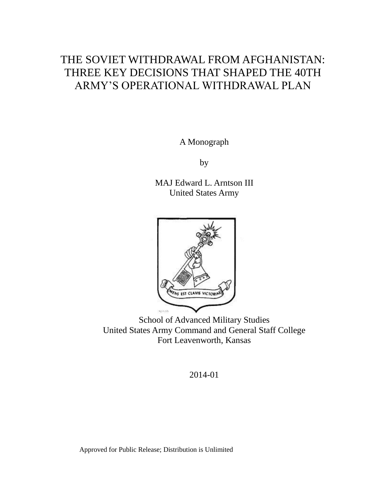# THE SOVIET WITHDRAWAL FROM AFGHANISTAN: THREE KEY DECISIONS THAT SHAPED THE 40TH ARMY'S OPERATIONAL WITHDRAWAL PLAN

A Monograph

by

MAJ Edward L. Arntson III United States Army



School of Advanced Military Studies United States Army Command and General Staff College Fort Leavenworth, Kansas

2014-01

Approved for Public Release; Distribution is Unlimited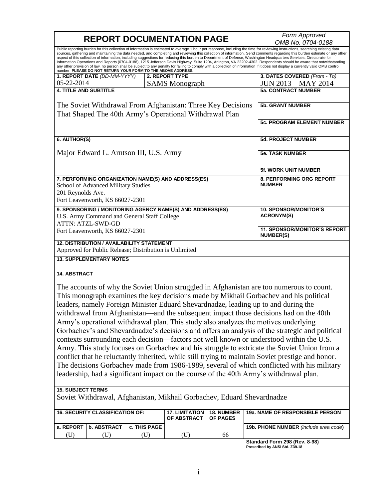| <b>REPORT DOCUMENTATION PAGE</b>                                                                                                                                                                                                                                                                                                                             |  |                                      | Form Approved<br>OMB No. 0704-0188                |                                                                                                                                                                                                                                                                                                                                                                                                                                                                                                                                                                                                                                                                                                                           |
|--------------------------------------------------------------------------------------------------------------------------------------------------------------------------------------------------------------------------------------------------------------------------------------------------------------------------------------------------------------|--|--------------------------------------|---------------------------------------------------|---------------------------------------------------------------------------------------------------------------------------------------------------------------------------------------------------------------------------------------------------------------------------------------------------------------------------------------------------------------------------------------------------------------------------------------------------------------------------------------------------------------------------------------------------------------------------------------------------------------------------------------------------------------------------------------------------------------------------|
| aspect of this collection of information, including suggestions for reducing this burden to Department of Defense, Washington Headquarters Services, Directorate for<br>number. PLEASE DO NOT RETURN YOUR FORM TO THE ABOVE ADDRESS.                                                                                                                         |  |                                      |                                                   | Public reporting burden for this collection of information is estimated to average 1 hour per response, including the time for reviewing instructions, searching existing data<br>sources, gathering and maintaining the data needed, and completing and reviewing this collection of information. Send comments regarding this burden estimate or any other<br>Information Operations and Reports (0704-0188), 1215 Jefferson Davis Highway, Suite 1204, Arlington, VA 22202-4302. Respondents should be aware that notwithstanding<br>any other provision of law, no person shall be subject to any penalty for failing to comply with a collection of information if it does not display a currently valid OMB control |
| 1. REPORT DATE (DD-MM-YYYY)                                                                                                                                                                                                                                                                                                                                  |  | <b>2. REPORT TYPE</b>                |                                                   | 3. DATES COVERED (From - To)                                                                                                                                                                                                                                                                                                                                                                                                                                                                                                                                                                                                                                                                                              |
| 05-22-2014                                                                                                                                                                                                                                                                                                                                                   |  | <b>SAMS</b> Monograph                |                                                   | <b>JUN 2013 - MAY 2014</b>                                                                                                                                                                                                                                                                                                                                                                                                                                                                                                                                                                                                                                                                                                |
| <b>4. TITLE AND SUBTITLE</b>                                                                                                                                                                                                                                                                                                                                 |  |                                      |                                                   | <b>5a. CONTRACT NUMBER</b>                                                                                                                                                                                                                                                                                                                                                                                                                                                                                                                                                                                                                                                                                                |
| The Soviet Withdrawal From Afghanistan: Three Key Decisions<br>That Shaped The 40th Army's Operational Withdrawal Plan                                                                                                                                                                                                                                       |  |                                      | <b>5b. GRANT NUMBER</b>                           |                                                                                                                                                                                                                                                                                                                                                                                                                                                                                                                                                                                                                                                                                                                           |
|                                                                                                                                                                                                                                                                                                                                                              |  |                                      |                                                   | <b>5c. PROGRAM ELEMENT NUMBER</b>                                                                                                                                                                                                                                                                                                                                                                                                                                                                                                                                                                                                                                                                                         |
| 6. AUTHOR(S)                                                                                                                                                                                                                                                                                                                                                 |  |                                      |                                                   | <b>5d. PROJECT NUMBER</b>                                                                                                                                                                                                                                                                                                                                                                                                                                                                                                                                                                                                                                                                                                 |
| Major Edward L. Arntson III, U.S. Army                                                                                                                                                                                                                                                                                                                       |  |                                      |                                                   | <b>5e. TASK NUMBER</b>                                                                                                                                                                                                                                                                                                                                                                                                                                                                                                                                                                                                                                                                                                    |
|                                                                                                                                                                                                                                                                                                                                                              |  |                                      |                                                   | <b>5f. WORK UNIT NUMBER</b>                                                                                                                                                                                                                                                                                                                                                                                                                                                                                                                                                                                                                                                                                               |
| 7. PERFORMING ORGANIZATION NAME(S) AND ADDRESS(ES)<br>School of Advanced Military Studies<br>201 Reynolds Ave.<br>Fort Leavenworth, KS 66027-2301                                                                                                                                                                                                            |  |                                      | 8. PERFORMING ORG REPORT<br><b>NUMBER</b>         |                                                                                                                                                                                                                                                                                                                                                                                                                                                                                                                                                                                                                                                                                                                           |
|                                                                                                                                                                                                                                                                                                                                                              |  |                                      |                                                   |                                                                                                                                                                                                                                                                                                                                                                                                                                                                                                                                                                                                                                                                                                                           |
| 9. SPONSORING / MONITORING AGENCY NAME(S) AND ADDRESS(ES)<br>U.S. Army Command and General Staff College                                                                                                                                                                                                                                                     |  |                                      | <b>10. SPONSOR/MONITOR'S</b><br><b>ACRONYM(S)</b> |                                                                                                                                                                                                                                                                                                                                                                                                                                                                                                                                                                                                                                                                                                                           |
| <b>ATTN: ATZL-SWD-GD</b><br>Fort Leavenworth, KS 66027-2301                                                                                                                                                                                                                                                                                                  |  |                                      |                                                   | <b>11. SPONSOR/MONITOR'S REPORT</b><br><b>NUMBER(S)</b>                                                                                                                                                                                                                                                                                                                                                                                                                                                                                                                                                                                                                                                                   |
| <b>12. DISTRIBUTION / AVAILABILITY STATEMENT</b><br>Approved for Public Release; Distribution is Unlimited                                                                                                                                                                                                                                                   |  |                                      |                                                   |                                                                                                                                                                                                                                                                                                                                                                                                                                                                                                                                                                                                                                                                                                                           |
| <b>13. SUPPLEMENTARY NOTES</b>                                                                                                                                                                                                                                                                                                                               |  |                                      |                                                   |                                                                                                                                                                                                                                                                                                                                                                                                                                                                                                                                                                                                                                                                                                                           |
| <b>14. ABSTRACT</b>                                                                                                                                                                                                                                                                                                                                          |  |                                      |                                                   |                                                                                                                                                                                                                                                                                                                                                                                                                                                                                                                                                                                                                                                                                                                           |
| This monograph examines the key decisions made by Mikhail Gorbachev and his political<br>leaders, namely Foreign Minister Eduard Shevardnadze, leading up to and during the<br>Army's operational withdrawal plan. This study also analyzes the motives underlying<br>leadership, had a significant impact on the course of the 40th Army's withdrawal plan. |  |                                      |                                                   | The accounts of why the Soviet Union struggled in Afghanistan are too numerous to count.<br>withdrawal from Afghanistan—and the subsequent impact those decisions had on the 40th<br>Gorbachev's and Shevardnadze's decisions and offers an analysis of the strategic and political<br>contexts surrounding each decision—factors not well known or understood within the U.S.<br>Army. This study focuses on Gorbachev and his struggle to extricate the Soviet Union from a<br>conflict that he reluctantly inherited, while still trying to maintain Soviet prestige and honor.<br>The decisions Gorbachev made from 1986-1989, several of which conflicted with his military                                          |
| <b>15. SUBJECT TERMS</b><br>Soviet Withdrawal, Afghanistan, Mikhail Gorbachev, Eduard Shevardnadze                                                                                                                                                                                                                                                           |  |                                      |                                                   |                                                                                                                                                                                                                                                                                                                                                                                                                                                                                                                                                                                                                                                                                                                           |
| <b>16. SECURITY CLASSIFICATION OF:</b>                                                                                                                                                                                                                                                                                                                       |  | <b>17. LIMITATION</b><br>OF ABSTRACT | 18. NUMBER<br><b>OF PAGES</b>                     | 19a. NAME OF RESPONSIBLE PERSON                                                                                                                                                                                                                                                                                                                                                                                                                                                                                                                                                                                                                                                                                           |
| a. REPORT   b. ABSTRACT   c. THIS PAGE                                                                                                                                                                                                                                                                                                                       |  |                                      |                                                   | 19b. PHONE NUMBER (include area code)                                                                                                                                                                                                                                                                                                                                                                                                                                                                                                                                                                                                                                                                                     |

**Standard Form 298 (Rev. 8-98) Prescribed by ANSI Std. Z39.18**

(U) (U) (U) (U) 66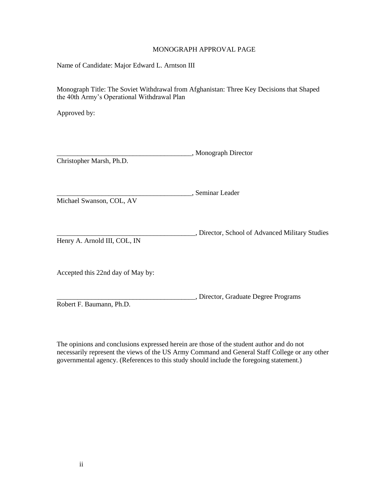# MONOGRAPH APPROVAL PAGE

Name of Candidate: Major Edward L. Arntson III

Monograph Title: The Soviet Withdrawal from Afghanistan: Three Key Decisions that Shaped the 40th Army's Operational Withdrawal Plan

Approved by:

|                          | _, Monograph Director |
|--------------------------|-----------------------|
| Christopher Marsh, Ph.D. |                       |

\_\_\_\_\_\_\_\_\_\_\_\_\_\_\_\_\_\_\_\_\_\_\_\_\_\_\_\_\_\_\_\_\_\_\_\_\_\_\_, Seminar Leader

Michael Swanson, COL, AV

\_\_\_\_\_\_\_\_\_\_\_\_\_\_\_\_\_\_\_\_\_\_\_\_\_\_\_\_\_\_\_\_\_\_\_\_\_\_\_\_, Director, School of Advanced Military Studies

Henry A. Arnold III, COL, IN

Accepted this 22nd day of May by:

\_\_\_\_\_\_\_\_\_\_\_\_\_\_\_\_\_\_\_\_\_\_\_\_\_\_\_\_\_\_\_\_\_\_\_\_\_\_\_\_, Director, Graduate Degree Programs Robert F. Baumann, Ph.D.

The opinions and conclusions expressed herein are those of the student author and do not necessarily represent the views of the US Army Command and General Staff College or any other governmental agency. (References to this study should include the foregoing statement.)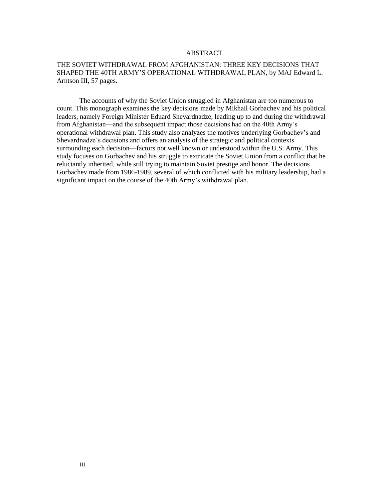#### ABSTRACT

# THE SOVIET WITHDRAWAL FROM AFGHANISTAN: THREE KEY DECISIONS THAT SHAPED THE 40TH ARMY'S OPERATIONAL WITHDRAWAL PLAN, by MAJ Edward L. Arntson III, 57 pages.

The accounts of why the Soviet Union struggled in Afghanistan are too numerous to count. This monograph examines the key decisions made by Mikhail Gorbachev and his political leaders, namely Foreign Minister Eduard Shevardnadze, leading up to and during the withdrawal from Afghanistan—and the subsequent impact those decisions had on the 40th Army's operational withdrawal plan. This study also analyzes the motives underlying Gorbachev's and Shevardnadze's decisions and offers an analysis of the strategic and political contexts surrounding each decision—factors not well known or understood within the U.S. Army. This study focuses on Gorbachev and his struggle to extricate the Soviet Union from a conflict that he reluctantly inherited, while still trying to maintain Soviet prestige and honor. The decisions Gorbachev made from 1986-1989, several of which conflicted with his military leadership, had a significant impact on the course of the 40th Army's withdrawal plan.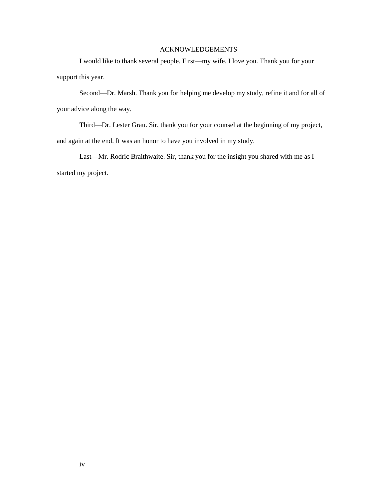# ACKNOWLEDGEMENTS

I would like to thank several people. First—my wife. I love you. Thank you for your support this year.

Second—Dr. Marsh. Thank you for helping me develop my study, refine it and for all of your advice along the way.

Third—Dr. Lester Grau. Sir, thank you for your counsel at the beginning of my project, and again at the end. It was an honor to have you involved in my study.

Last—Mr. Rodric Braithwaite. Sir, thank you for the insight you shared with me as I started my project.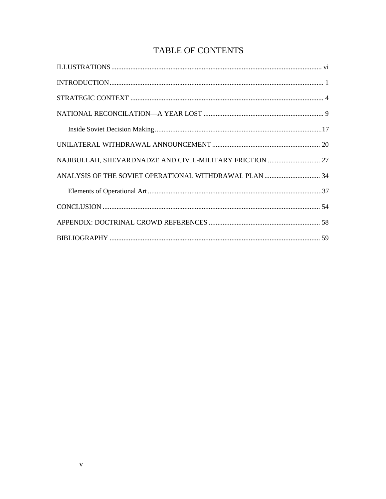# TABLE OF CONTENTS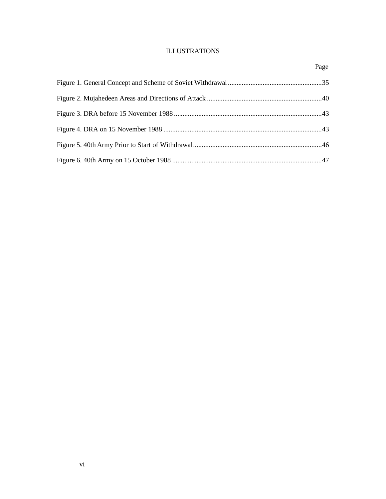# ILLUSTRATIONS

<span id="page-6-0"></span>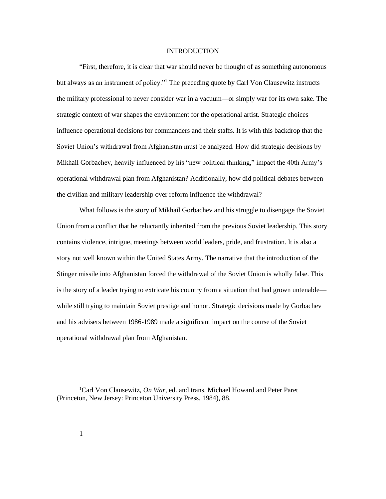#### INTRODUCTION

<span id="page-7-0"></span>"First, therefore, it is clear that war should never be thought of as something autonomous but always as an instrument of policy."<sup>1</sup> The preceding quote by Carl Von Clausewitz instructs the military professional to never consider war in a vacuum—or simply war for its own sake. The strategic context of war shapes the environment for the operational artist. Strategic choices influence operational decisions for commanders and their staffs. It is with this backdrop that the Soviet Union's withdrawal from Afghanistan must be analyzed. How did strategic decisions by Mikhail Gorbachev, heavily influenced by his "new political thinking," impact the 40th Army's operational withdrawal plan from Afghanistan? Additionally, how did political debates between the civilian and military leadership over reform influence the withdrawal?

What follows is the story of Mikhail Gorbachev and his struggle to disengage the Soviet Union from a conflict that he reluctantly inherited from the previous Soviet leadership. This story contains violence, intrigue, meetings between world leaders, pride, and frustration. It is also a story not well known within the United States Army. The narrative that the introduction of the Stinger missile into Afghanistan forced the withdrawal of the Soviet Union is wholly false. This is the story of a leader trying to extricate his country from a situation that had grown untenable while still trying to maintain Soviet prestige and honor. Strategic decisions made by Gorbachev and his advisers between 1986-1989 made a significant impact on the course of the Soviet operational withdrawal plan from Afghanistan.

<sup>1</sup>Carl Von Clausewitz, *On War*, ed. and trans. Michael Howard and Peter Paret (Princeton, New Jersey: Princeton University Press, 1984), 88.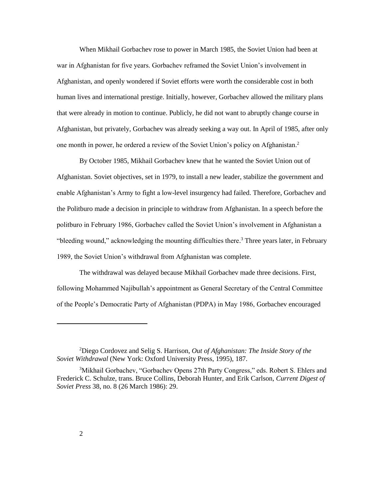When Mikhail Gorbachev rose to power in March 1985, the Soviet Union had been at war in Afghanistan for five years. Gorbachev reframed the Soviet Union's involvement in Afghanistan, and openly wondered if Soviet efforts were worth the considerable cost in both human lives and international prestige. Initially, however, Gorbachev allowed the military plans that were already in motion to continue. Publicly, he did not want to abruptly change course in Afghanistan, but privately, Gorbachev was already seeking a way out. In April of 1985, after only one month in power, he ordered a review of the Soviet Union's policy on Afghanistan.<sup>2</sup>

By October 1985, Mikhail Gorbachev knew that he wanted the Soviet Union out of Afghanistan. Soviet objectives, set in 1979, to install a new leader, stabilize the government and enable Afghanistan's Army to fight a low-level insurgency had failed. Therefore, Gorbachev and the Politburo made a decision in principle to withdraw from Afghanistan. In a speech before the politburo in February 1986, Gorbachev called the Soviet Union's involvement in Afghanistan a "bleeding wound," acknowledging the mounting difficulties there. <sup>3</sup> Three years later, in February 1989, the Soviet Union's withdrawal from Afghanistan was complete.

The withdrawal was delayed because Mikhail Gorbachev made three decisions. First, following Mohammed Najibullah's appointment as General Secretary of the Central Committee of the People's Democratic Party of Afghanistan (PDPA) in May 1986, Gorbachev encouraged

<sup>2</sup>Diego Cordovez and Selig S. Harrison, *Out of Afghanistan: The Inside Story of the Soviet Withdrawal* (New York: Oxford University Press, 1995), 187.

<sup>3</sup>Mikhail Gorbachev, "Gorbachev Opens 27th Party Congress," eds. Robert S. Ehlers and Frederick C. Schulze, trans. Bruce Collins, Deborah Hunter, and Erik Carlson, *Current Digest of Soviet Press* 38, no. 8 (26 March 1986): 29.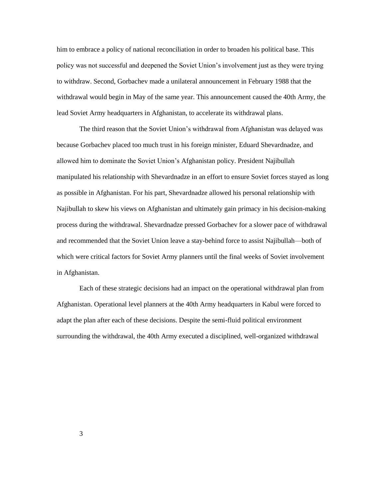him to embrace a policy of national reconciliation in order to broaden his political base. This policy was not successful and deepened the Soviet Union's involvement just as they were trying to withdraw. Second, Gorbachev made a unilateral announcement in February 1988 that the withdrawal would begin in May of the same year. This announcement caused the 40th Army, the lead Soviet Army headquarters in Afghanistan, to accelerate its withdrawal plans.

The third reason that the Soviet Union's withdrawal from Afghanistan was delayed was because Gorbachev placed too much trust in his foreign minister, Eduard Shevardnadze, and allowed him to dominate the Soviet Union's Afghanistan policy. President Najibullah manipulated his relationship with Shevardnadze in an effort to ensure Soviet forces stayed as long as possible in Afghanistan. For his part, Shevardnadze allowed his personal relationship with Najibullah to skew his views on Afghanistan and ultimately gain primacy in his decision-making process during the withdrawal. Shevardnadze pressed Gorbachev for a slower pace of withdrawal and recommended that the Soviet Union leave a stay-behind force to assist Najibullah—both of which were critical factors for Soviet Army planners until the final weeks of Soviet involvement in Afghanistan.

Each of these strategic decisions had an impact on the operational withdrawal plan from Afghanistan. Operational level planners at the 40th Army headquarters in Kabul were forced to adapt the plan after each of these decisions. Despite the semi-fluid political environment surrounding the withdrawal, the 40th Army executed a disciplined, well-organized withdrawal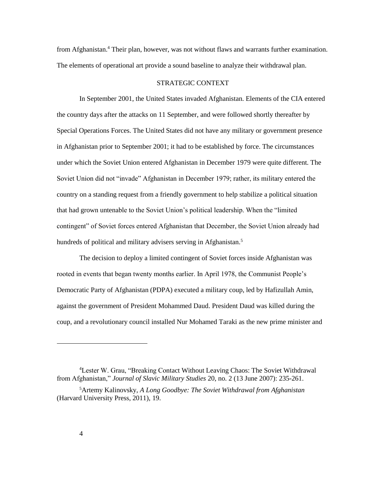from Afghanistan.<sup>4</sup> Their plan, however, was not without flaws and warrants further examination. The elements of operational art provide a sound baseline to analyze their withdrawal plan.

# STRATEGIC CONTEXT

<span id="page-10-0"></span>In September 2001, the United States invaded Afghanistan. Elements of the CIA entered the country days after the attacks on 11 September, and were followed shortly thereafter by Special Operations Forces. The United States did not have any military or government presence in Afghanistan prior to September 2001; it had to be established by force. The circumstances under which the Soviet Union entered Afghanistan in December 1979 were quite different. The Soviet Union did not "invade" Afghanistan in December 1979; rather, its military entered the country on a standing request from a friendly government to help stabilize a political situation that had grown untenable to the Soviet Union's political leadership. When the "limited contingent" of Soviet forces entered Afghanistan that December, the Soviet Union already had hundreds of political and military advisers serving in Afghanistan.<sup>5</sup>

The decision to deploy a limited contingent of Soviet forces inside Afghanistan was rooted in events that began twenty months earlier. In April 1978, the Communist People's Democratic Party of Afghanistan (PDPA) executed a military coup, led by Hafizullah Amin, against the government of President Mohammed Daud. President Daud was killed during the coup, and a revolutionary council installed Nur Mohamed Taraki as the new prime minister and

<sup>4</sup>Lester W. Grau, "Breaking Contact Without Leaving Chaos: The Soviet Withdrawal from Afghanistan," *Journal of Slavic Military Studies* 20, no. 2 (13 June 2007): 235-261.

<sup>5</sup>Artemy Kalinovsky, *A Long Goodbye: The Soviet Withdrawal from Afghanistan*  (Harvard University Press, 2011), 19.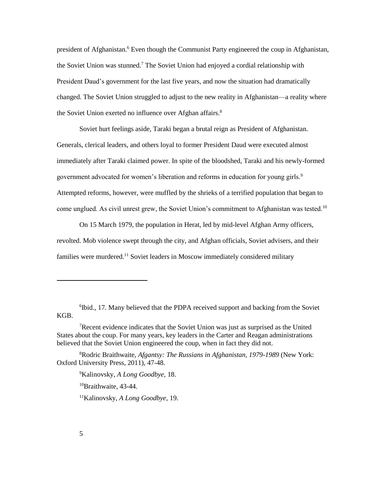president of Afghanistan.<sup>6</sup> Even though the Communist Party engineered the coup in Afghanistan, the Soviet Union was stunned.<sup>7</sup> The Soviet Union had enjoyed a cordial relationship with President Daud's government for the last five years, and now the situation had dramatically changed. The Soviet Union struggled to adjust to the new reality in Afghanistan—a reality where the Soviet Union exerted no influence over Afghan affairs.<sup>8</sup>

Soviet hurt feelings aside, Taraki began a brutal reign as President of Afghanistan. Generals, clerical leaders, and others loyal to former President Daud were executed almost immediately after Taraki claimed power. In spite of the bloodshed, Taraki and his newly-formed government advocated for women's liberation and reforms in education for young girls.<sup>9</sup> Attempted reforms, however, were muffled by the shrieks of a terrified population that began to come unglued. As civil unrest grew, the Soviet Union's commitment to Afghanistan was tested.<sup>10</sup>

On 15 March 1979, the population in Herat, led by mid-level Afghan Army officers, revolted. Mob violence swept through the city, and Afghan officials, Soviet advisers, and their families were murdered.<sup>11</sup> Soviet leaders in Moscow immediately considered military

<sup>9</sup>Kalinovsky, *A Long Goodbye,* 18.

<sup>10</sup>Braithwaite, 43-44.

11Kalinovsky, *A Long Goodbye,* 19.

<sup>&</sup>lt;sup>6</sup>Ibid., 17. Many believed that the PDPA received support and backing from the Soviet KGB.

<sup>7</sup>Recent evidence indicates that the Soviet Union was just as surprised as the United States about the coup. For many years, key leaders in the Carter and Reagan administrations believed that the Soviet Union engineered the coup, when in fact they did not.

<sup>8</sup>Rodric Braithwaite, *Afgantsy: The Russians in Afghanistan, 1979-1989* (New York: Oxford University Press, 2011), 47-48.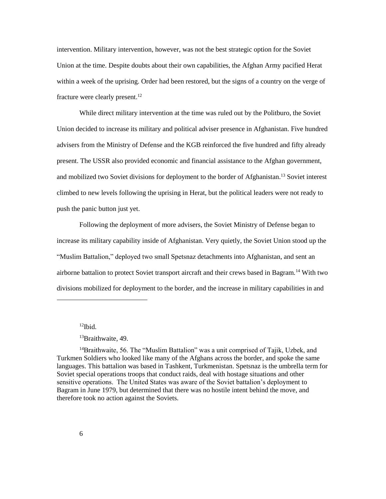intervention. Military intervention, however, was not the best strategic option for the Soviet Union at the time. Despite doubts about their own capabilities, the Afghan Army pacified Herat within a week of the uprising. Order had been restored, but the signs of a country on the verge of fracture were clearly present.<sup>12</sup>

While direct military intervention at the time was ruled out by the Politburo, the Soviet Union decided to increase its military and political adviser presence in Afghanistan. Five hundred advisers from the Ministry of Defense and the KGB reinforced the five hundred and fifty already present. The USSR also provided economic and financial assistance to the Afghan government, and mobilized two Soviet divisions for deployment to the border of Afghanistan.<sup>13</sup> Soviet interest climbed to new levels following the uprising in Herat, but the political leaders were not ready to push the panic button just yet.

Following the deployment of more advisers, the Soviet Ministry of Defense began to increase its military capability inside of Afghanistan. Very quietly, the Soviet Union stood up the "Muslim Battalion," deployed two small Spetsnaz detachments into Afghanistan, and sent an airborne battalion to protect Soviet transport aircraft and their crews based in Bagram.<sup>14</sup> With two divisions mobilized for deployment to the border, and the increase in military capabilities in and

 $12$ Ibid.

l

<sup>13</sup>Braithwaite, 49.

<sup>&</sup>lt;sup>14</sup>Braithwaite, 56. The "Muslim Battalion" was a unit comprised of Tajik, Uzbek, and Turkmen Soldiers who looked like many of the Afghans across the border, and spoke the same languages. This battalion was based in Tashkent, Turkmenistan. Spetsnaz is the umbrella term for Soviet special operations troops that conduct raids, deal with hostage situations and other sensitive operations. The United States was aware of the Soviet battalion's deployment to Bagram in June 1979, but determined that there was no hostile intent behind the move, and therefore took no action against the Soviets.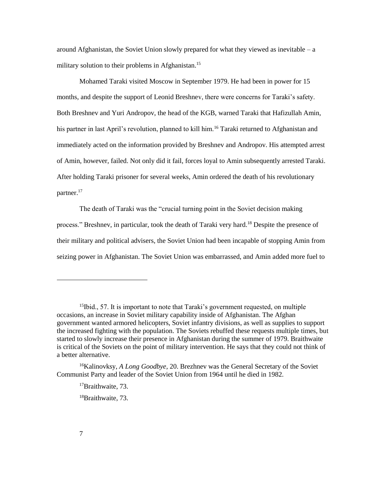around Afghanistan, the Soviet Union slowly prepared for what they viewed as inevitable – a military solution to their problems in Afghanistan.<sup>15</sup>

Mohamed Taraki visited Moscow in September 1979. He had been in power for 15 months, and despite the support of Leonid Breshnev, there were concerns for Taraki's safety. Both Breshnev and Yuri Andropov, the head of the KGB, warned Taraki that Hafizullah Amin, his partner in last April's revolution, planned to kill him.<sup>16</sup> Taraki returned to Afghanistan and immediately acted on the information provided by Breshnev and Andropov. His attempted arrest of Amin, however, failed. Not only did it fail, forces loyal to Amin subsequently arrested Taraki. After holding Taraki prisoner for several weeks, Amin ordered the death of his revolutionary partner.<sup>17</sup>

The death of Taraki was the "crucial turning point in the Soviet decision making process." Breshnev, in particular, took the death of Taraki very hard.<sup>18</sup> Despite the presence of their military and political advisers, the Soviet Union had been incapable of stopping Amin from seizing power in Afghanistan. The Soviet Union was embarrassed, and Amin added more fuel to

<sup>15</sup>Ibid., 57. It is important to note that Taraki's government requested, on multiple occasions, an increase in Soviet military capability inside of Afghanistan. The Afghan government wanted armored helicopters, Soviet infantry divisions, as well as supplies to support the increased fighting with the population. The Soviets rebuffed these requests multiple times, but started to slowly increase their presence in Afghanistan during the summer of 1979. Braithwaite is critical of the Soviets on the point of military intervention. He says that they could not think of a better alternative.

<sup>16</sup>Kalinovksy, *A Long Goodbye,* 20. Brezhnev was the General Secretary of the Soviet Communist Party and leader of the Soviet Union from 1964 until he died in 1982.

<sup>&</sup>lt;sup>17</sup>Braithwaite, 73.

<sup>&</sup>lt;sup>18</sup>Braithwaite, 73.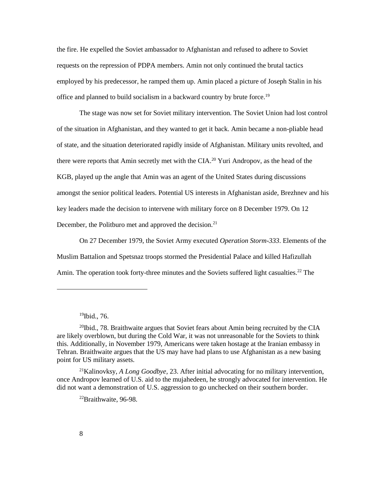the fire. He expelled the Soviet ambassador to Afghanistan and refused to adhere to Soviet requests on the repression of PDPA members. Amin not only continued the brutal tactics employed by his predecessor, he ramped them up. Amin placed a picture of Joseph Stalin in his office and planned to build socialism in a backward country by brute force.<sup>19</sup>

The stage was now set for Soviet military intervention. The Soviet Union had lost control of the situation in Afghanistan, and they wanted to get it back. Amin became a non-pliable head of state, and the situation deteriorated rapidly inside of Afghanistan. Military units revolted, and there were reports that Amin secretly met with the CIA.<sup>20</sup> Yuri Andropov, as the head of the KGB, played up the angle that Amin was an agent of the United States during discussions amongst the senior political leaders. Potential US interests in Afghanistan aside, Brezhnev and his key leaders made the decision to intervene with military force on 8 December 1979. On 12 December, the Politburo met and approved the decision.<sup>21</sup>

On 27 December 1979, the Soviet Army executed *Operation Storm-333*. Elements of the Muslim Battalion and Spetsnaz troops stormed the Presidential Palace and killed Hafizullah Amin. The operation took forty-three minutes and the Soviets suffered light casualties.<sup>22</sup> The

 $\overline{\phantom{a}}$ 

<sup>21</sup>Kalinovksy, *A Long Goodbye,* 23. After initial advocating for no military intervention, once Andropov learned of U.S. aid to the mujahedeen, he strongly advocated for intervention. He did not want a demonstration of U.S. aggression to go unchecked on their southern border.

 $19$ Ibid., 76.

 $^{20}$ Ibid., 78. Braithwaite argues that Soviet fears about Amin being recruited by the CIA are likely overblown, but during the Cold War, it was not unreasonable for the Soviets to think this. Additionally, in November 1979, Americans were taken hostage at the Iranian embassy in Tehran. Braithwaite argues that the US may have had plans to use Afghanistan as a new basing point for US military assets.

<sup>22</sup>Braithwaite, 96-98.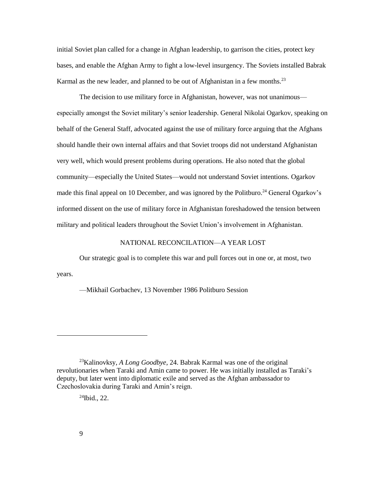initial Soviet plan called for a change in Afghan leadership, to garrison the cities, protect key bases, and enable the Afghan Army to fight a low-level insurgency. The Soviets installed Babrak Karmal as the new leader, and planned to be out of Afghanistan in a few months.<sup>23</sup>

The decision to use military force in Afghanistan, however, was not unanimous especially amongst the Soviet military's senior leadership. General Nikolai Ogarkov, speaking on behalf of the General Staff, advocated against the use of military force arguing that the Afghans should handle their own internal affairs and that Soviet troops did not understand Afghanistan very well, which would present problems during operations. He also noted that the global community—especially the United States—would not understand Soviet intentions. Ogarkov made this final appeal on 10 December, and was ignored by the Politburo.<sup>24</sup> General Ogarkov's informed dissent on the use of military force in Afghanistan foreshadowed the tension between military and political leaders throughout the Soviet Union's involvement in Afghanistan.

# NATIONAL RECONCILATION—A YEAR LOST

<span id="page-15-0"></span>Our strategic goal is to complete this war and pull forces out in one or, at most, two years.

—Mikhail Gorbachev, 13 November 1986 Politburo Session

 $^{24}$ Ibid., 22.

 $\overline{\phantom{a}}$ 

<sup>23</sup>Kalinovksy, *A Long Goodbye*, 24. Babrak Karmal was one of the original revolutionaries when Taraki and Amin came to power. He was initially installed as Taraki's deputy, but later went into diplomatic exile and served as the Afghan ambassador to Czechoslovakia during Taraki and Amin's reign.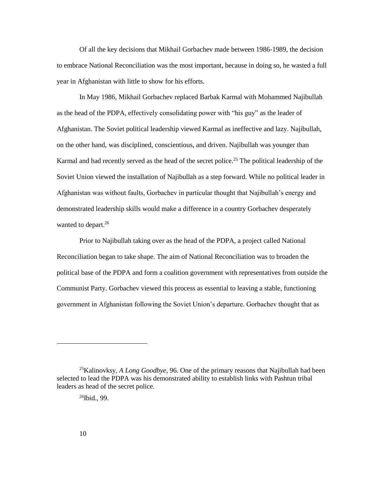Of all the key decisions that Mikhail Gorbachev made between 1986-1989, the decision to embrace National Reconciliation was the most important, because in doing so, he wasted a full year in Afghanistan with little to show for his efforts.

In May 1986, Mikhail Gorbachev replaced Barbak Karmal with Mohammed Najibullah as the head of the PDPA, effectively consolidating power with "his guy" as the leader of Afghanistan. The Soviet political leadership viewed Karmal as ineffective and lazy. Najibullah, on the other hand, was disciplined, conscientious, and driven. Najibullah was younger than Karmal and had recently served as the head of the secret police.<sup>25</sup> The political leadership of the Soviet Union viewed the installation of Najibullah as a step forward. While no political leader in Afghanistan was without faults, Gorbachev in particular thought that Najibullah's energy and demonstrated leadership skills would make a difference in a country Gorbachev desperately wanted to depart.<sup>26</sup>

Prior to Najibullah taking over as the head of the PDPA, a project called National Reconciliation began to take shape. The aim of National Reconciliation was to broaden the political base of the PDPA and form a coalition government with representatives from outside the Communist Party. Gorbachev viewed this process as essential to leaving a stable, functioning government in Afghanistan following the Soviet Union's departure. Gorbachev thought that as

 $26$ Ibid., 99.

<sup>25</sup>Kalinovksy, *A Long Goodbye*, 96. One of the primary reasons that Najibullah had been selected to lead the PDPA was his demonstrated ability to establish links with Pashtun tribal leaders as head of the secret police.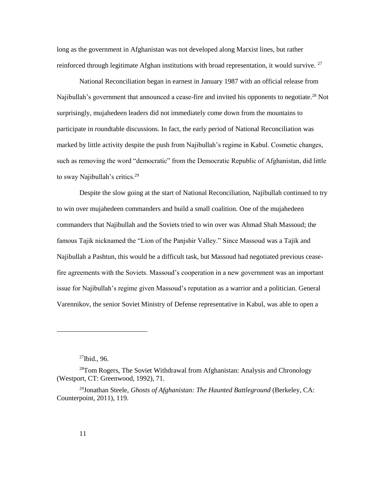long as the government in Afghanistan was not developed along Marxist lines, but rather reinforced through legitimate Afghan institutions with broad representation, it would survive. <sup>27</sup>

National Reconciliation began in earnest in January 1987 with an official release from Najibullah's government that announced a cease-fire and invited his opponents to negotiate.<sup>28</sup> Not surprisingly, mujahedeen leaders did not immediately come down from the mountains to participate in roundtable discussions. In fact, the early period of National Reconciliation was marked by little activity despite the push from Najibullah's regime in Kabul. Cosmetic changes, such as removing the word "democratic" from the Democratic Republic of Afghanistan, did little to sway Najibullah's critics.<sup>29</sup>

Despite the slow going at the start of National Reconciliation, Najibullah continued to try to win over mujahedeen commanders and build a small coalition. One of the mujahedeen commanders that Najibullah and the Soviets tried to win over was Ahmad Shah Massoud; the famous Tajik nicknamed the "Lion of the Panjshir Valley." Since Massoud was a Tajik and Najibullah a Pashtun, this would be a difficult task, but Massoud had negotiated previous ceasefire agreements with the Soviets. Massoud's cooperation in a new government was an important issue for Najibullah's regime given Massoud's reputation as a warrior and a politician. General Varennikov, the senior Soviet Ministry of Defense representative in Kabul, was able to open a

 $\overline{\phantom{a}}$ 

 $27$ Ibid., 96.

<sup>&</sup>lt;sup>28</sup>Tom Rogers, The Soviet Withdrawal from Afghanistan: Analysis and Chronology (Westport, CT: Greenwood, 1992), 71.

<sup>29</sup>Jonathan Steele, *Ghosts of Afghanistan: The Haunted Battleground* (Berkeley, CA: Counterpoint, 2011), 119.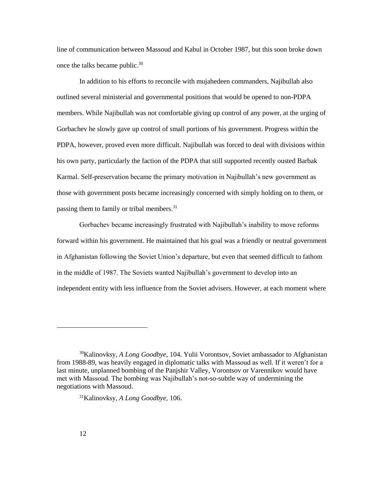line of communication between Massoud and Kabul in October 1987, but this soon broke down once the talks became public.<sup>30</sup>

In addition to his efforts to reconcile with mujahedeen commanders, Najibullah also outlined several ministerial and governmental positions that would be opened to non-PDPA members. While Najibullah was not comfortable giving up control of any power, at the urging of Gorbachev he slowly gave up control of small portions of his government. Progress within the PDPA, however, proved even more difficult. Najibullah was forced to deal with divisions within his own party, particularly the faction of the PDPA that still supported recently ousted Barbak Karmal. Self-preservation became the primary motivation in Najibullah's new government as those with government posts became increasingly concerned with simply holding on to them, or passing them to family or tribal members.<sup>31</sup>

Gorbachev became increasingly frustrated with Najibullah's inability to move reforms forward within his government. He maintained that his goal was a friendly or neutral government in Afghanistan following the Soviet Union's departure, but even that seemed difficult to fathom in the middle of 1987. The Soviets wanted Najibullah's government to develop into an independent entity with less influence from the Soviet advisers. However, at each moment where

<sup>30</sup>Kalinovksy, *A Long Goodbye,* 104. Yulii Vorontsov, Soviet ambassador to Afghanistan from 1988-89, was heavily engaged in diplomatic talks with Massoud as well. If it weren't for a last minute, unplanned bombing of the Panjshir Valley, Vorontsov or Varennikov would have met with Massoud. The bombing was Najibullah's not-so-subtle way of undermining the negotiations with Massoud.

<sup>31</sup>Kalinovksy, *A Long Goodbye,* 106.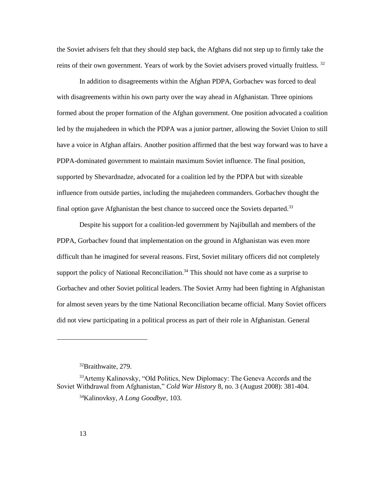the Soviet advisers felt that they should step back, the Afghans did not step up to firmly take the reins of their own government. Years of work by the Soviet advisers proved virtually fruitless.<sup>32</sup>

In addition to disagreements within the Afghan PDPA, Gorbachev was forced to deal with disagreements within his own party over the way ahead in Afghanistan. Three opinions formed about the proper formation of the Afghan government. One position advocated a coalition led by the mujahedeen in which the PDPA was a junior partner, allowing the Soviet Union to still have a voice in Afghan affairs. Another position affirmed that the best way forward was to have a PDPA-dominated government to maintain maximum Soviet influence. The final position, supported by Shevardnadze, advocated for a coalition led by the PDPA but with sizeable influence from outside parties, including the mujahedeen commanders. Gorbachev thought the final option gave Afghanistan the best chance to succeed once the Soviets departed.<sup>33</sup>

Despite his support for a coalition-led government by Najibullah and members of the PDPA, Gorbachev found that implementation on the ground in Afghanistan was even more difficult than he imagined for several reasons. First, Soviet military officers did not completely support the policy of National Reconciliation.<sup>34</sup> This should not have come as a surprise to Gorbachev and other Soviet political leaders. The Soviet Army had been fighting in Afghanistan for almost seven years by the time National Reconciliation became official. Many Soviet officers did not view participating in a political process as part of their role in Afghanistan. General

<sup>32</sup>Braithwaite, 279.

<sup>33</sup>Artemy Kalinovsky, "Old Politics, New Diplomacy: The Geneva Accords and the Soviet Withdrawal from Afghanistan," *Cold War History* 8, no. 3 (August 2008): 381-404.

<sup>34</sup>Kalinovksy, *A Long Goodbye,* 103.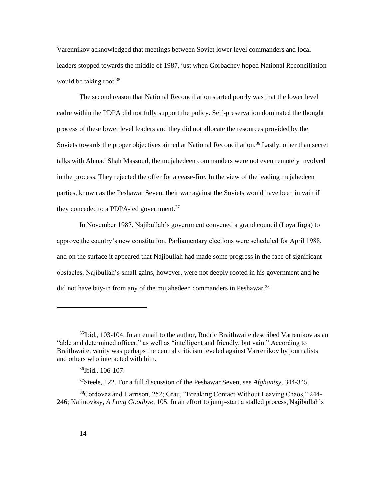Varennikov acknowledged that meetings between Soviet lower level commanders and local leaders stopped towards the middle of 1987, just when Gorbachev hoped National Reconciliation would be taking root. $35$ 

The second reason that National Reconciliation started poorly was that the lower level cadre within the PDPA did not fully support the policy. Self-preservation dominated the thought process of these lower level leaders and they did not allocate the resources provided by the Soviets towards the proper objectives aimed at National Reconciliation.<sup>36</sup> Lastly, other than secret talks with Ahmad Shah Massoud, the mujahedeen commanders were not even remotely involved in the process. They rejected the offer for a cease-fire. In the view of the leading mujahedeen parties, known as the Peshawar Seven, their war against the Soviets would have been in vain if they conceded to a PDPA-led government.<sup>37</sup>

In November 1987, Najibullah's government convened a grand council (Loya Jirga) to approve the country's new constitution. Parliamentary elections were scheduled for April 1988, and on the surface it appeared that Najibullah had made some progress in the face of significant obstacles. Najibullah's small gains, however, were not deeply rooted in his government and he did not have buy-in from any of the mujahedeen commanders in Peshawar.<sup>38</sup>

<sup>&</sup>lt;sup>35</sup>Ibid., 103-104. In an email to the author, Rodric Braithwaite described Varrenikov as an "able and determined officer," as well as "intelligent and friendly, but vain." According to Braithwaite, vanity was perhaps the central criticism leveled against Varrenikov by journalists and others who interacted with him.

<sup>36</sup>Ibid., 106-107.

<sup>37</sup>Steele, 122. For a full discussion of the Peshawar Seven, see *Afghantsy,* 344-345.

<sup>38</sup>Cordovez and Harrison, 252; Grau, "Breaking Contact Without Leaving Chaos," 244- 246; Kalinovksy, *A Long Goodbye*, 105. In an effort to jump-start a stalled process, Najibullah's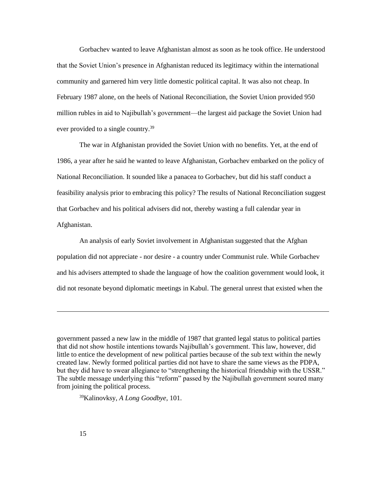Gorbachev wanted to leave Afghanistan almost as soon as he took office. He understood that the Soviet Union's presence in Afghanistan reduced its legitimacy within the international community and garnered him very little domestic political capital. It was also not cheap. In February 1987 alone, on the heels of National Reconciliation, the Soviet Union provided 950 million rubles in aid to Najibullah's government—the largest aid package the Soviet Union had ever provided to a single country.<sup>39</sup>

The war in Afghanistan provided the Soviet Union with no benefits. Yet, at the end of 1986, a year after he said he wanted to leave Afghanistan, Gorbachev embarked on the policy of National Reconciliation. It sounded like a panacea to Gorbachev, but did his staff conduct a feasibility analysis prior to embracing this policy? The results of National Reconciliation suggest that Gorbachev and his political advisers did not, thereby wasting a full calendar year in Afghanistan.

An analysis of early Soviet involvement in Afghanistan suggested that the Afghan population did not appreciate - nor desire - a country under Communist rule. While Gorbachev and his advisers attempted to shade the language of how the coalition government would look, it did not resonate beyond diplomatic meetings in Kabul. The general unrest that existed when the

39Kalinovksy, *A Long Goodbye*, 101.

government passed a new law in the middle of 1987 that granted legal status to political parties that did not show hostile intentions towards Najibullah's government. This law, however, did little to entice the development of new political parties because of the sub text within the newly created law. Newly formed political parties did not have to share the same views as the PDPA, but they did have to swear allegiance to "strengthening the historical friendship with the USSR." The subtle message underlying this "reform" passed by the Najibullah government soured many from joining the political process.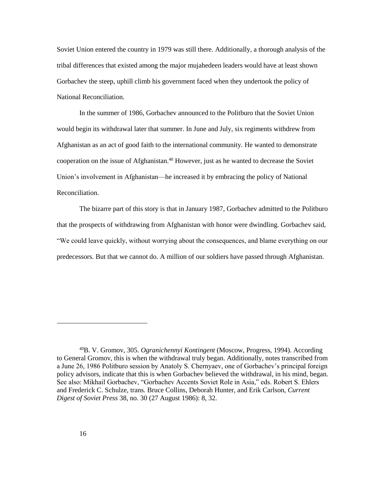Soviet Union entered the country in 1979 was still there. Additionally, a thorough analysis of the tribal differences that existed among the major mujahedeen leaders would have at least shown Gorbachev the steep, uphill climb his government faced when they undertook the policy of National Reconciliation.

In the summer of 1986, Gorbachev announced to the Politburo that the Soviet Union would begin its withdrawal later that summer. In June and July, six regiments withdrew from Afghanistan as an act of good faith to the international community. He wanted to demonstrate cooperation on the issue of Afghanistan.<sup>40</sup> However, just as he wanted to decrease the Soviet Union's involvement in Afghanistan—he increased it by embracing the policy of National Reconciliation.

The bizarre part of this story is that in January 1987, Gorbachev admitted to the Politburo that the prospects of withdrawing from Afghanistan with honor were dwindling. Gorbachev said, "We could leave quickly, without worrying about the consequences, and blame everything on our predecessors. But that we cannot do. A million of our soldiers have passed through Afghanistan.

<sup>40</sup>B. V. Gromov, 305. *Ogranichennyi Kontingent* (Moscow, Progress, 1994). According to General Gromov, this is when the withdrawal truly began. Additionally, notes transcribed from a June 26, 1986 Politburo session by Anatoly S. Chernyaev, one of Gorbachev's principal foreign policy advisors, indicate that this is when Gorbachev believed the withdrawal, in his mind, began. See also: Mikhail Gorbachev, "Gorbachev Accents Soviet Role in Asia," eds. Robert S. Ehlers and Frederick C. Schulze, trans. Bruce Collins, Deborah Hunter, and Erik Carlson, *Current Digest of Soviet Press* 38, no. 30 (27 August 1986): 8, 32.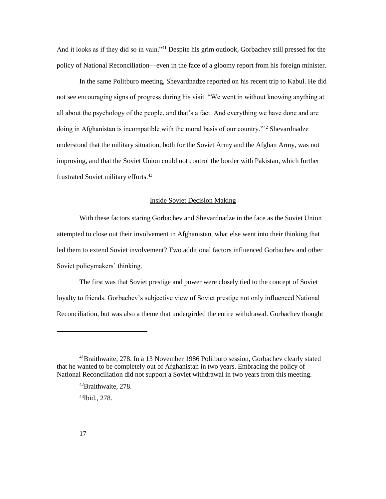And it looks as if they did so in vain."<sup>41</sup> Despite his grim outlook, Gorbachev still pressed for the policy of National Reconciliation—even in the face of a gloomy report from his foreign minister.

In the same Politburo meeting, Shevardnadze reported on his recent trip to Kabul. He did not see encouraging signs of progress during his visit. "We went in without knowing anything at all about the psychology of the people, and that's a fact. And everything we have done and are doing in Afghanistan is incompatible with the moral basis of our country.<sup>742</sup> Shevardnadze understood that the military situation, both for the Soviet Army and the Afghan Army, was not improving, and that the Soviet Union could not control the border with Pakistan, which further frustrated Soviet military efforts.<sup>43</sup>

### Inside Soviet Decision Making

<span id="page-23-0"></span>With these factors staring Gorbachev and Shevardnadze in the face as the Soviet Union attempted to close out their involvement in Afghanistan, what else went into their thinking that led them to extend Soviet involvement? Two additional factors influenced Gorbachev and other Soviet policymakers' thinking.

The first was that Soviet prestige and power were closely tied to the concept of Soviet loyalty to friends. Gorbachev's subjective view of Soviet prestige not only influenced National Reconciliation, but was also a theme that undergirded the entire withdrawal. Gorbachev thought

 $\overline{\phantom{a}}$ 

<sup>41</sup>Braithwaite, 278. In a 13 November 1986 Politburo session, Gorbachev clearly stated that he wanted to be completely out of Afghanistan in two years. Embracing the policy of National Reconciliation did not support a Soviet withdrawal in two years from this meeting.

<sup>42</sup>Braithwaite, 278.

<sup>43</sup>Ibid., 278.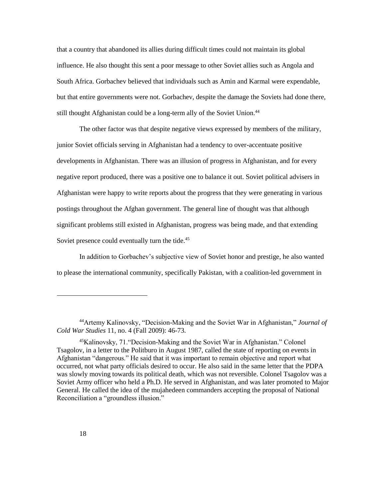that a country that abandoned its allies during difficult times could not maintain its global influence. He also thought this sent a poor message to other Soviet allies such as Angola and South Africa. Gorbachev believed that individuals such as Amin and Karmal were expendable, but that entire governments were not. Gorbachev, despite the damage the Soviets had done there, still thought Afghanistan could be a long-term ally of the Soviet Union.<sup>44</sup>

The other factor was that despite negative views expressed by members of the military, junior Soviet officials serving in Afghanistan had a tendency to over-accentuate positive developments in Afghanistan. There was an illusion of progress in Afghanistan, and for every negative report produced, there was a positive one to balance it out. Soviet political advisers in Afghanistan were happy to write reports about the progress that they were generating in various postings throughout the Afghan government. The general line of thought was that although significant problems still existed in Afghanistan, progress was being made, and that extending Soviet presence could eventually turn the tide.<sup>45</sup>

In addition to Gorbachev's subjective view of Soviet honor and prestige, he also wanted to please the international community, specifically Pakistan, with a coalition-led government in

<sup>44</sup>Artemy Kalinovsky, "Decision-Making and the Soviet War in Afghanistan," *Journal of Cold War Studies* 11, no. 4 (Fall 2009): 46-73.

<sup>45</sup>Kalinovsky, 71."Decision-Making and the Soviet War in Afghanistan." Colonel Tsagolov, in a letter to the Politburo in August 1987, called the state of reporting on events in Afghanistan "dangerous." He said that it was important to remain objective and report what occurred, not what party officials desired to occur. He also said in the same letter that the PDPA was slowly moving towards its political death, which was not reversible. Colonel Tsagolov was a Soviet Army officer who held a Ph.D. He served in Afghanistan, and was later promoted to Major General. He called the idea of the mujahedeen commanders accepting the proposal of National Reconciliation a "groundless illusion."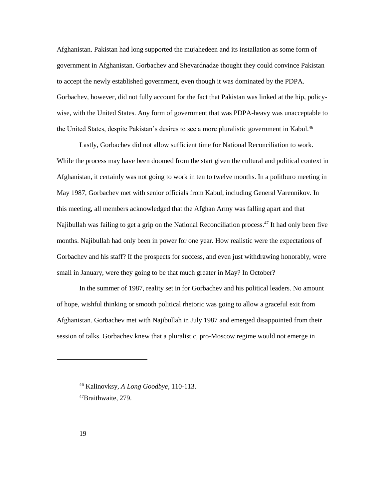Afghanistan. Pakistan had long supported the mujahedeen and its installation as some form of government in Afghanistan. Gorbachev and Shevardnadze thought they could convince Pakistan to accept the newly established government, even though it was dominated by the PDPA. Gorbachev, however, did not fully account for the fact that Pakistan was linked at the hip, policywise, with the United States. Any form of government that was PDPA-heavy was unacceptable to the United States, despite Pakistan's desires to see a more pluralistic government in Kabul.<sup>46</sup>

Lastly, Gorbachev did not allow sufficient time for National Reconciliation to work. While the process may have been doomed from the start given the cultural and political context in Afghanistan, it certainly was not going to work in ten to twelve months. In a politburo meeting in May 1987, Gorbachev met with senior officials from Kabul, including General Varennikov. In this meeting, all members acknowledged that the Afghan Army was falling apart and that Najibullah was failing to get a grip on the National Reconciliation process.<sup>47</sup> It had only been five months. Najibullah had only been in power for one year. How realistic were the expectations of Gorbachev and his staff? If the prospects for success, and even just withdrawing honorably, were small in January, were they going to be that much greater in May? In October?

In the summer of 1987, reality set in for Gorbachev and his political leaders. No amount of hope, wishful thinking or smooth political rhetoric was going to allow a graceful exit from Afghanistan. Gorbachev met with Najibullah in July 1987 and emerged disappointed from their session of talks. Gorbachev knew that a pluralistic, pro-Moscow regime would not emerge in

<sup>46</sup> Kalinovksy, *A Long Goodbye,* 110-113. 47Braithwaite, 279.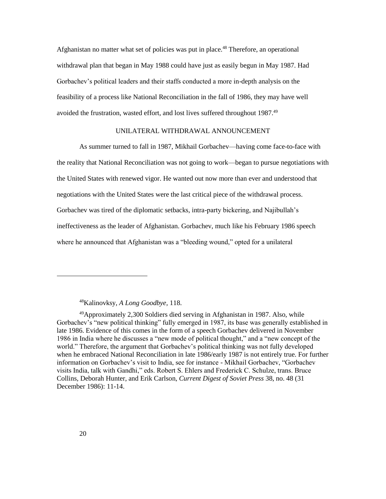Afghanistan no matter what set of policies was put in place.<sup>48</sup> Therefore, an operational withdrawal plan that began in May 1988 could have just as easily begun in May 1987. Had Gorbachev's political leaders and their staffs conducted a more in-depth analysis on the feasibility of a process like National Reconciliation in the fall of 1986, they may have well avoided the frustration, wasted effort, and lost lives suffered throughout 1987.<sup>49</sup>

#### UNILATERAL WITHDRAWAL ANNOUNCEMENT

<span id="page-26-0"></span>As summer turned to fall in 1987, Mikhail Gorbachev—having come face-to-face with the reality that National Reconciliation was not going to work—began to pursue negotiations with the United States with renewed vigor. He wanted out now more than ever and understood that negotiations with the United States were the last critical piece of the withdrawal process. Gorbachev was tired of the diplomatic setbacks, intra-party bickering, and Najibullah's ineffectiveness as the leader of Afghanistan. Gorbachev, much like his February 1986 speech where he announced that Afghanistan was a "bleeding wound," opted for a unilateral

<sup>48</sup>Kalinovksy, *A Long Goodbye,* 118.

<sup>49</sup>Approximately 2,300 Soldiers died serving in Afghanistan in 1987. Also, while Gorbachev's "new political thinking" fully emerged in 1987, its base was generally established in late 1986. Evidence of this comes in the form of a speech Gorbachev delivered in November 1986 in India where he discusses a "new mode of political thought," and a "new concept of the world." Therefore, the argument that Gorbachev's political thinking was not fully developed when he embraced National Reconciliation in late 1986/early 1987 is not entirely true. For further information on Gorbachev's visit to India, see for instance - Mikhail Gorbachev, "Gorbachev visits India, talk with Gandhi," eds. Robert S. Ehlers and Frederick C. Schulze, trans. Bruce Collins, Deborah Hunter, and Erik Carlson, *Current Digest of Soviet Press* 38, no. 48 (31 December 1986): 11-14.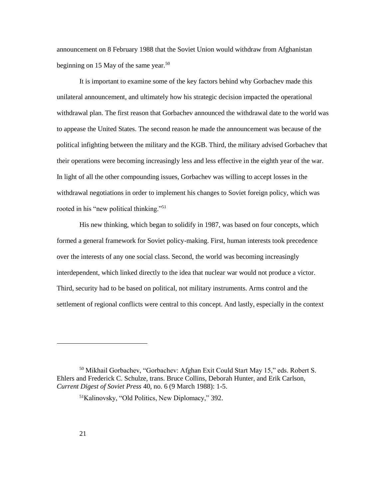announcement on 8 February 1988 that the Soviet Union would withdraw from Afghanistan beginning on 15 May of the same year.<sup>50</sup>

It is important to examine some of the key factors behind why Gorbachev made this unilateral announcement, and ultimately how his strategic decision impacted the operational withdrawal plan. The first reason that Gorbachev announced the withdrawal date to the world was to appease the United States. The second reason he made the announcement was because of the political infighting between the military and the KGB. Third, the military advised Gorbachev that their operations were becoming increasingly less and less effective in the eighth year of the war. In light of all the other compounding issues, Gorbachev was willing to accept losses in the withdrawal negotiations in order to implement his changes to Soviet foreign policy, which was rooted in his "new political thinking."<sup>51</sup>

His new thinking, which began to solidify in 1987, was based on four concepts, which formed a general framework for Soviet policy-making. First, human interests took precedence over the interests of any one social class. Second, the world was becoming increasingly interdependent, which linked directly to the idea that nuclear war would not produce a victor. Third, security had to be based on political, not military instruments. Arms control and the settlement of regional conflicts were central to this concept. And lastly, especially in the context

<sup>50</sup> Mikhail Gorbachev, "Gorbachev: Afghan Exit Could Start May 15," eds. Robert S. Ehlers and Frederick C. Schulze, trans. Bruce Collins, Deborah Hunter, and Erik Carlson, *Current Digest of Soviet Press* 40, no. 6 (9 March 1988): 1-5.

<sup>51</sup>Kalinovsky, "Old Politics, New Diplomacy," 392.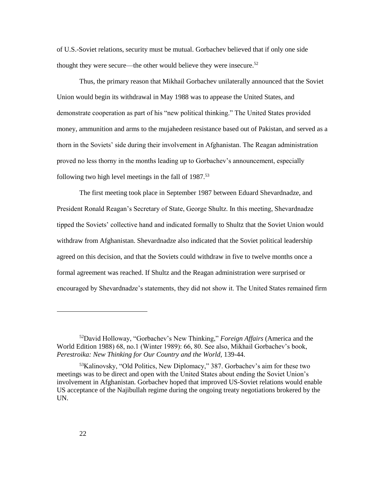of U.S.-Soviet relations, security must be mutual. Gorbachev believed that if only one side thought they were secure—the other would believe they were insecure.<sup>52</sup>

Thus, the primary reason that Mikhail Gorbachev unilaterally announced that the Soviet Union would begin its withdrawal in May 1988 was to appease the United States, and demonstrate cooperation as part of his "new political thinking." The United States provided money, ammunition and arms to the mujahedeen resistance based out of Pakistan, and served as a thorn in the Soviets' side during their involvement in Afghanistan. The Reagan administration proved no less thorny in the months leading up to Gorbachev's announcement, especially following two high level meetings in the fall of 1987.<sup>53</sup>

The first meeting took place in September 1987 between Eduard Shevardnadze, and President Ronald Reagan's Secretary of State, George Shultz. In this meeting, Shevardnadze tipped the Soviets' collective hand and indicated formally to Shultz that the Soviet Union would withdraw from Afghanistan. Shevardnadze also indicated that the Soviet political leadership agreed on this decision, and that the Soviets could withdraw in five to twelve months once a formal agreement was reached. If Shultz and the Reagan administration were surprised or encouraged by Shevardnadze's statements, they did not show it. The United States remained firm

<sup>52</sup>David Holloway, "Gorbachev's New Thinking," *Foreign Affairs* (America and the World Edition 1988) 68, no.1 (Winter 1989): 66, 80. See also, Mikhail Gorbachev's book, *Perestroika: New Thinking for Our Country and the World,* 139-44.

<sup>53</sup>Kalinovsky, "Old Politics, New Diplomacy," 387. Gorbachev's aim for these two meetings was to be direct and open with the United States about ending the Soviet Union's involvement in Afghanistan. Gorbachev hoped that improved US-Soviet relations would enable US acceptance of the Najibullah regime during the ongoing treaty negotiations brokered by the UN.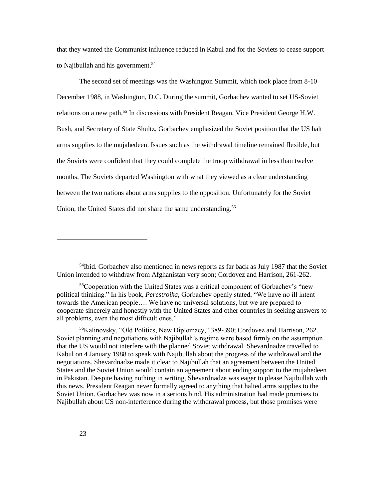that they wanted the Communist influence reduced in Kabul and for the Soviets to cease support to Najibullah and his government.<sup>54</sup>

The second set of meetings was the Washington Summit, which took place from 8-10 December 1988, in Washington, D.C. During the summit, Gorbachev wanted to set US-Soviet relations on a new path.<sup>55</sup> In discussions with President Reagan, Vice President George H.W. Bush, and Secretary of State Shultz, Gorbachev emphasized the Soviet position that the US halt arms supplies to the mujahedeen. Issues such as the withdrawal timeline remained flexible, but the Soviets were confident that they could complete the troop withdrawal in less than twelve months. The Soviets departed Washington with what they viewed as a clear understanding between the two nations about arms supplies to the opposition. Unfortunately for the Soviet Union, the United States did not share the same understanding.<sup>56</sup>

<sup>56</sup>Kalinovsky, "Old Politics, New Diplomacy," 389-390; Cordovez and Harrison, 262. Soviet planning and negotiations with Najibullah's regime were based firmly on the assumption that the US would not interfere with the planned Soviet withdrawal. Shevardnadze travelled to Kabul on 4 January 1988 to speak with Najibullah about the progress of the withdrawal and the negotiations. Shevardnadze made it clear to Najibullah that an agreement between the United States and the Soviet Union would contain an agreement about ending support to the mujahedeen in Pakistan. Despite having nothing in writing, Shevardnadze was eager to please Najibullah with this news. President Reagan never formally agreed to anything that halted arms supplies to the Soviet Union. Gorbachev was now in a serious bind. His administration had made promises to Najibullah about US non-interference during the withdrawal process, but those promises were

 $\overline{\phantom{a}}$ 

<sup>&</sup>lt;sup>54</sup>Ibid. Gorbachev also mentioned in news reports as far back as July 1987 that the Soviet Union intended to withdraw from Afghanistan very soon; Cordovez and Harrison, 261-262.

<sup>55</sup>Cooperation with the United States was a critical component of Gorbachev's "new political thinking." In his book, *Perestroika,* Gorbachev openly stated, "We have no ill intent towards the American people…. We have no universal solutions, but we are prepared to cooperate sincerely and honestly with the United States and other countries in seeking answers to all problems, even the most difficult ones."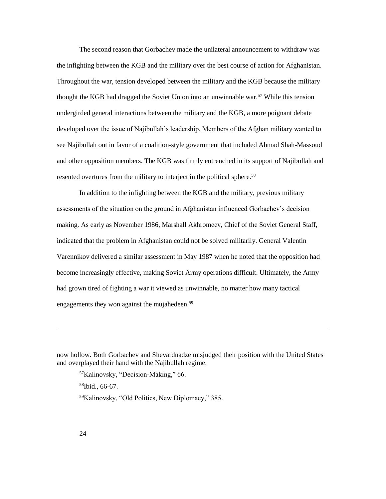The second reason that Gorbachev made the unilateral announcement to withdraw was the infighting between the KGB and the military over the best course of action for Afghanistan. Throughout the war, tension developed between the military and the KGB because the military thought the KGB had dragged the Soviet Union into an unwinnable war.<sup>57</sup> While this tension undergirded general interactions between the military and the KGB, a more poignant debate developed over the issue of Najibullah's leadership. Members of the Afghan military wanted to see Najibullah out in favor of a coalition-style government that included Ahmad Shah-Massoud and other opposition members. The KGB was firmly entrenched in its support of Najibullah and resented overtures from the military to interject in the political sphere.<sup>58</sup>

In addition to the infighting between the KGB and the military, previous military assessments of the situation on the ground in Afghanistan influenced Gorbachev's decision making. As early as November 1986, Marshall Akhromeev, Chief of the Soviet General Staff, indicated that the problem in Afghanistan could not be solved militarily. General Valentin Varennikov delivered a similar assessment in May 1987 when he noted that the opposition had become increasingly effective, making Soviet Army operations difficult. Ultimately, the Army had grown tired of fighting a war it viewed as unwinnable, no matter how many tactical engagements they won against the mujahedeen.<sup>59</sup>

<sup>57</sup>Kalinovsky, "Decision-Making," 66. <sup>58</sup>Ibid., 66-67. 59Kalinovsky, "Old Politics, New Diplomacy," 385.

 $\overline{\phantom{a}}$ 

now hollow. Both Gorbachev and Shevardnadze misjudged their position with the United States and overplayed their hand with the Najibullah regime.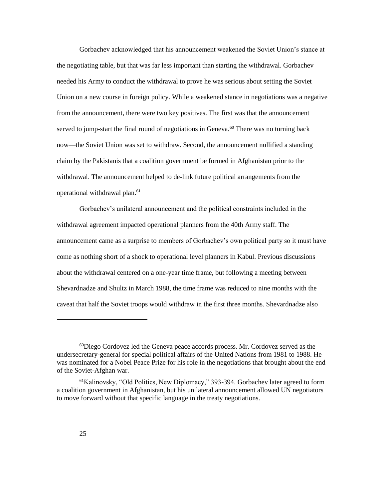Gorbachev acknowledged that his announcement weakened the Soviet Union's stance at the negotiating table, but that was far less important than starting the withdrawal. Gorbachev needed his Army to conduct the withdrawal to prove he was serious about setting the Soviet Union on a new course in foreign policy. While a weakened stance in negotiations was a negative from the announcement, there were two key positives. The first was that the announcement served to jump-start the final round of negotiations in Geneva.<sup>60</sup> There was no turning back now—the Soviet Union was set to withdraw. Second, the announcement nullified a standing claim by the Pakistanis that a coalition government be formed in Afghanistan prior to the withdrawal. The announcement helped to de-link future political arrangements from the operational withdrawal plan.<sup>61</sup>

Gorbachev's unilateral announcement and the political constraints included in the withdrawal agreement impacted operational planners from the 40th Army staff. The announcement came as a surprise to members of Gorbachev's own political party so it must have come as nothing short of a shock to operational level planners in Kabul. Previous discussions about the withdrawal centered on a one-year time frame, but following a meeting between Shevardnadze and Shultz in March 1988, the time frame was reduced to nine months with the caveat that half the Soviet troops would withdraw in the first three months. Shevardnadze also

<sup>60</sup>Diego Cordovez led the Geneva peace accords process. Mr. Cordovez served as the undersecretary-general for special political affairs of the United Nations from 1981 to 1988. He was nominated for a Nobel Peace Prize for his role in the negotiations that brought about the end of the Soviet-Afghan war.

<sup>61</sup>Kalinovsky, "Old Politics, New Diplomacy," 393-394. Gorbachev later agreed to form a coalition government in Afghanistan, but his unilateral announcement allowed UN negotiators to move forward without that specific language in the treaty negotiations.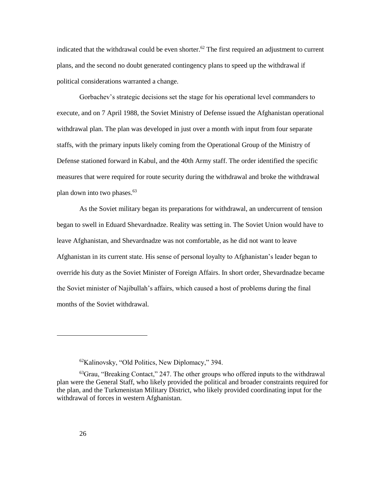indicated that the withdrawal could be even shorter.<sup>62</sup> The first required an adjustment to current plans, and the second no doubt generated contingency plans to speed up the withdrawal if political considerations warranted a change.

Gorbachev's strategic decisions set the stage for his operational level commanders to execute, and on 7 April 1988, the Soviet Ministry of Defense issued the Afghanistan operational withdrawal plan. The plan was developed in just over a month with input from four separate staffs, with the primary inputs likely coming from the Operational Group of the Ministry of Defense stationed forward in Kabul, and the 40th Army staff. The order identified the specific measures that were required for route security during the withdrawal and broke the withdrawal plan down into two phases.<sup>63</sup>

As the Soviet military began its preparations for withdrawal, an undercurrent of tension began to swell in Eduard Shevardnadze. Reality was setting in. The Soviet Union would have to leave Afghanistan, and Shevardnadze was not comfortable, as he did not want to leave Afghanistan in its current state. His sense of personal loyalty to Afghanistan's leader began to override his duty as the Soviet Minister of Foreign Affairs. In short order, Shevardnadze became the Soviet minister of Najibullah's affairs, which caused a host of problems during the final months of the Soviet withdrawal.

 $\overline{\phantom{a}}$ 

<sup>62</sup>Kalinovsky, "Old Politics, New Diplomacy," 394.

<sup>63</sup>Grau, "Breaking Contact," 247. The other groups who offered inputs to the withdrawal plan were the General Staff, who likely provided the political and broader constraints required for the plan, and the Turkmenistan Military District, who likely provided coordinating input for the withdrawal of forces in western Afghanistan.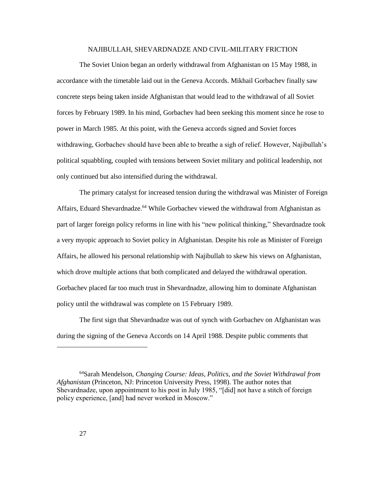### NAJIBULLAH, SHEVARDNADZE AND CIVIL-MILITARY FRICTION

<span id="page-33-0"></span>The Soviet Union began an orderly withdrawal from Afghanistan on 15 May 1988, in accordance with the timetable laid out in the Geneva Accords. Mikhail Gorbachev finally saw concrete steps being taken inside Afghanistan that would lead to the withdrawal of all Soviet forces by February 1989. In his mind, Gorbachev had been seeking this moment since he rose to power in March 1985. At this point, with the Geneva accords signed and Soviet forces withdrawing, Gorbachev should have been able to breathe a sigh of relief. However, Najibullah's political squabbling, coupled with tensions between Soviet military and political leadership, not only continued but also intensified during the withdrawal.

The primary catalyst for increased tension during the withdrawal was Minister of Foreign Affairs, Eduard Shevardnadze.<sup>64</sup> While Gorbachev viewed the withdrawal from Afghanistan as part of larger foreign policy reforms in line with his "new political thinking," Shevardnadze took a very myopic approach to Soviet policy in Afghanistan. Despite his role as Minister of Foreign Affairs, he allowed his personal relationship with Najibullah to skew his views on Afghanistan, which drove multiple actions that both complicated and delayed the withdrawal operation. Gorbachev placed far too much trust in Shevardnadze, allowing him to dominate Afghanistan policy until the withdrawal was complete on 15 February 1989.

The first sign that Shevardnadze was out of synch with Gorbachev on Afghanistan was during the signing of the Geneva Accords on 14 April 1988. Despite public comments that

<sup>64</sup>Sarah Mendelson, *Changing Course: Ideas, Politics, and the Soviet Withdrawal from Afghanistan* (Princeton, NJ: Princeton University Press, 1998). The author notes that Shevardnadze, upon appointment to his post in July 1985, "[did] not have a stitch of foreign policy experience, [and] had never worked in Moscow."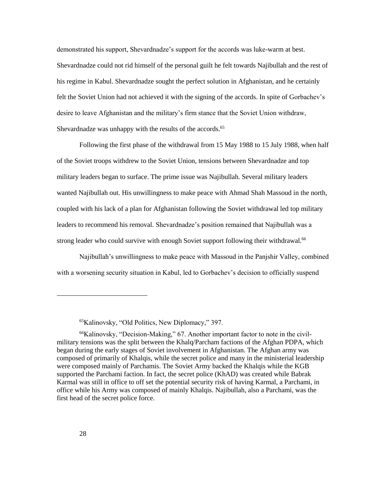demonstrated his support, Shevardnadze's support for the accords was luke-warm at best. Shevardnadze could not rid himself of the personal guilt he felt towards Najibullah and the rest of his regime in Kabul. Shevardnadze sought the perfect solution in Afghanistan, and he certainly felt the Soviet Union had not achieved it with the signing of the accords. In spite of Gorbachev's desire to leave Afghanistan and the military's firm stance that the Soviet Union withdraw, Shevardnadze was unhappy with the results of the accords.<sup>65</sup>

Following the first phase of the withdrawal from 15 May 1988 to 15 July 1988, when half of the Soviet troops withdrew to the Soviet Union, tensions between Shevardnadze and top military leaders began to surface. The prime issue was Najibullah. Several military leaders wanted Najibullah out. His unwillingness to make peace with Ahmad Shah Massoud in the north, coupled with his lack of a plan for Afghanistan following the Soviet withdrawal led top military leaders to recommend his removal. Shevardnadze's position remained that Najibullah was a strong leader who could survive with enough Soviet support following their withdrawal.<sup>66</sup>

Najibullah's unwillingness to make peace with Massoud in the Panjshir Valley, combined with a worsening security situation in Kabul, led to Gorbachev's decision to officially suspend

<sup>65</sup>Kalinovsky, "Old Politics, New Diplomacy," 397.

<sup>66</sup>Kalinovsky, "Decision-Making," 67. Another important factor to note in the civilmilitary tensions was the split between the Khalq/Parcham factions of the Afghan PDPA, which began during the early stages of Soviet involvement in Afghanistan. The Afghan army was composed of primarily of Khalqis, while the secret police and many in the ministerial leadership were composed mainly of Parchamis. The Soviet Army backed the Khalqis while the KGB supported the Parchami faction. In fact, the secret police (KhAD) was created while Babrak Karmal was still in office to off set the potential security risk of having Karmal, a Parchami, in office while his Army was composed of mainly Khalqis. Najibullah, also a Parchami, was the first head of the secret police force.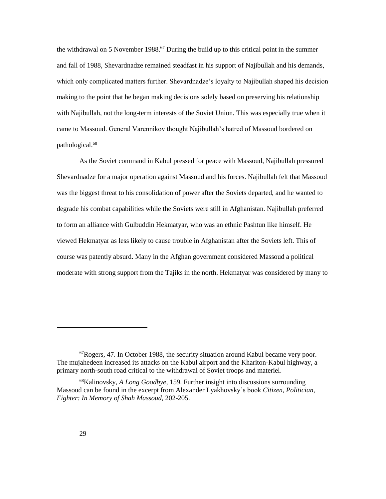the withdrawal on 5 November 1988.<sup>67</sup> During the build up to this critical point in the summer and fall of 1988, Shevardnadze remained steadfast in his support of Najibullah and his demands, which only complicated matters further. Shevardnadze's loyalty to Najibullah shaped his decision making to the point that he began making decisions solely based on preserving his relationship with Najibullah, not the long-term interests of the Soviet Union. This was especially true when it came to Massoud. General Varennikov thought Najibullah's hatred of Massoud bordered on pathological.<sup>68</sup>

As the Soviet command in Kabul pressed for peace with Massoud, Najibullah pressured Shevardnadze for a major operation against Massoud and his forces. Najibullah felt that Massoud was the biggest threat to his consolidation of power after the Soviets departed, and he wanted to degrade his combat capabilities while the Soviets were still in Afghanistan. Najibullah preferred to form an alliance with Gulbuddin Hekmatyar, who was an ethnic Pashtun like himself. He viewed Hekmatyar as less likely to cause trouble in Afghanistan after the Soviets left. This of course was patently absurd. Many in the Afghan government considered Massoud a political moderate with strong support from the Tajiks in the north. Hekmatyar was considered by many to

 ${}^{67}Rogers$ , 47. In October 1988, the security situation around Kabul became very poor. The mujahedeen increased its attacks on the Kabul airport and the Khariton-Kabul highway, a primary north-south road critical to the withdrawal of Soviet troops and materiel.

<sup>68</sup>Kalinovsky, *A Long Goodbye*, 159. Further insight into discussions surrounding Massoud can be found in the excerpt from Alexander Lyakhovsky's book *Citizen, Politician, Fighter: In Memory of Shah Massoud,* 202-205.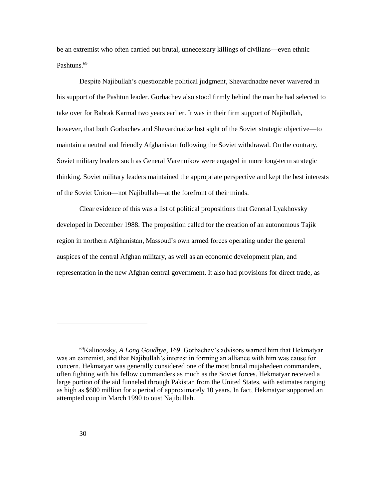be an extremist who often carried out brutal, unnecessary killings of civilians—even ethnic Pashtuns.<sup>69</sup>

Despite Najibullah's questionable political judgment, Shevardnadze never waivered in his support of the Pashtun leader. Gorbachev also stood firmly behind the man he had selected to take over for Babrak Karmal two years earlier. It was in their firm support of Najibullah, however, that both Gorbachev and Shevardnadze lost sight of the Soviet strategic objective—to maintain a neutral and friendly Afghanistan following the Soviet withdrawal. On the contrary, Soviet military leaders such as General Varennikov were engaged in more long-term strategic thinking. Soviet military leaders maintained the appropriate perspective and kept the best interests of the Soviet Union—not Najibullah—at the forefront of their minds.

Clear evidence of this was a list of political propositions that General Lyakhovsky developed in December 1988. The proposition called for the creation of an autonomous Tajik region in northern Afghanistan, Massoud's own armed forces operating under the general auspices of the central Afghan military, as well as an economic development plan, and representation in the new Afghan central government. It also had provisions for direct trade, as

<sup>69</sup>Kalinovsky, *A Long Goodbye*, 169. Gorbachev's advisors warned him that Hekmatyar was an extremist, and that Najibullah's interest in forming an alliance with him was cause for concern. Hekmatyar was generally considered one of the most brutal mujahedeen commanders, often fighting with his fellow commanders as much as the Soviet forces. Hekmatyar received a large portion of the aid funneled through Pakistan from the United States, with estimates ranging as high as \$600 million for a period of approximately 10 years. In fact, Hekmatyar supported an attempted coup in March 1990 to oust Najibullah.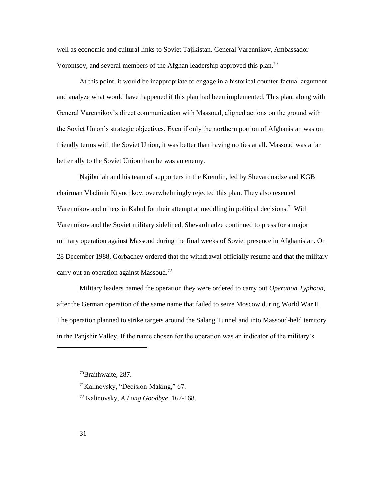well as economic and cultural links to Soviet Tajikistan. General Varennikov, Ambassador Vorontsov, and several members of the Afghan leadership approved this plan.<sup>70</sup>

At this point, it would be inappropriate to engage in a historical counter-factual argument and analyze what would have happened if this plan had been implemented. This plan, along with General Varennikov's direct communication with Massoud, aligned actions on the ground with the Soviet Union's strategic objectives. Even if only the northern portion of Afghanistan was on friendly terms with the Soviet Union, it was better than having no ties at all. Massoud was a far better ally to the Soviet Union than he was an enemy.

Najibullah and his team of supporters in the Kremlin, led by Shevardnadze and KGB chairman Vladimir Kryuchkov, overwhelmingly rejected this plan. They also resented Varennikov and others in Kabul for their attempt at meddling in political decisions.<sup>71</sup> With Varennikov and the Soviet military sidelined, Shevardnadze continued to press for a major military operation against Massoud during the final weeks of Soviet presence in Afghanistan. On 28 December 1988, Gorbachev ordered that the withdrawal officially resume and that the military carry out an operation against Massoud.<sup>72</sup>

Military leaders named the operation they were ordered to carry out *Operation Typhoon*, after the German operation of the same name that failed to seize Moscow during World War II. The operation planned to strike targets around the Salang Tunnel and into Massoud-held territory in the Panjshir Valley. If the name chosen for the operation was an indicator of the military's

<sup>70</sup>Braithwaite, 287.

<sup>71</sup>Kalinovsky, "Decision-Making," 67.

<sup>72</sup> Kalinovsky, *A Long Goodbye,* 167-168.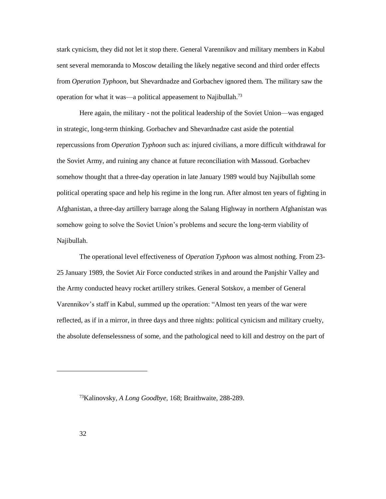stark cynicism, they did not let it stop there. General Varennikov and military members in Kabul sent several memoranda to Moscow detailing the likely negative second and third order effects from *Operation Typhoon*, but Shevardnadze and Gorbachev ignored them*.* The military saw the operation for what it was—a political appeasement to Najibullah.<sup>73</sup>

Here again, the military - not the political leadership of the Soviet Union—was engaged in strategic, long-term thinking. Gorbachev and Shevardnadze cast aside the potential repercussions from *Operation Typhoon* such as: injured civilians, a more difficult withdrawal for the Soviet Army, and ruining any chance at future reconciliation with Massoud. Gorbachev somehow thought that a three-day operation in late January 1989 would buy Najibullah some political operating space and help his regime in the long run. After almost ten years of fighting in Afghanistan, a three-day artillery barrage along the Salang Highway in northern Afghanistan was somehow going to solve the Soviet Union's problems and secure the long-term viability of Najibullah.

The operational level effectiveness of *Operation Typhoon* was almost nothing. From 23- 25 January 1989, the Soviet Air Force conducted strikes in and around the Panjshir Valley and the Army conducted heavy rocket artillery strikes. General Sotskov, a member of General Varennikov's staff in Kabul, summed up the operation: "Almost ten years of the war were reflected, as if in a mirror, in three days and three nights: political cynicism and military cruelty, the absolute defenselessness of some, and the pathological need to kill and destroy on the part of

 $\overline{\phantom{a}}$ 

<sup>73</sup>Kalinovsky, *A Long Goodbye*, 168; Braithwaite, 288-289.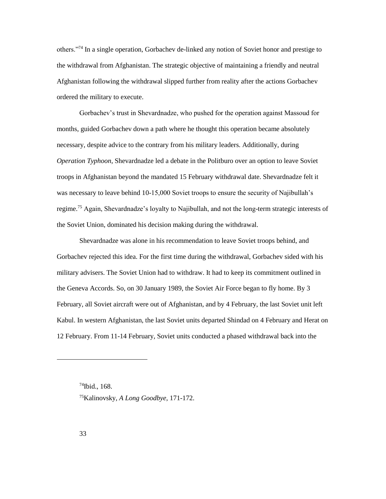others."<sup>74</sup> In a single operation, Gorbachev de-linked any notion of Soviet honor and prestige to the withdrawal from Afghanistan. The strategic objective of maintaining a friendly and neutral Afghanistan following the withdrawal slipped further from reality after the actions Gorbachev ordered the military to execute.

Gorbachev's trust in Shevardnadze, who pushed for the operation against Massoud for months, guided Gorbachev down a path where he thought this operation became absolutely necessary, despite advice to the contrary from his military leaders. Additionally, during *Operation Typhoon*, Shevardnadze led a debate in the Politburo over an option to leave Soviet troops in Afghanistan beyond the mandated 15 February withdrawal date. Shevardnadze felt it was necessary to leave behind 10-15,000 Soviet troops to ensure the security of Najibullah's regime.<sup>75</sup> Again, Shevardnadze's loyalty to Najibullah, and not the long-term strategic interests of the Soviet Union, dominated his decision making during the withdrawal.

Shevardnadze was alone in his recommendation to leave Soviet troops behind, and Gorbachev rejected this idea. For the first time during the withdrawal, Gorbachev sided with his military advisers. The Soviet Union had to withdraw. It had to keep its commitment outlined in the Geneva Accords. So, on 30 January 1989, the Soviet Air Force began to fly home. By 3 February, all Soviet aircraft were out of Afghanistan, and by 4 February, the last Soviet unit left Kabul. In western Afghanistan, the last Soviet units departed Shindad on 4 February and Herat on 12 February. From 11-14 February, Soviet units conducted a phased withdrawal back into the

<sup>74</sup>Ibid., 168. 75Kalinovsky, *A Long Goodbye*, 171-172.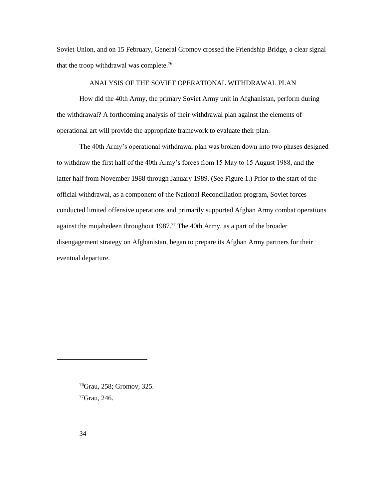Soviet Union, and on 15 February, General Gromov crossed the Friendship Bridge, a clear signal that the troop withdrawal was complete.<sup>76</sup>

# ANALYSIS OF THE SOVIET OPERATIONAL WITHDRAWAL PLAN

<span id="page-40-0"></span>How did the 40th Army, the primary Soviet Army unit in Afghanistan, perform during the withdrawal? A forthcoming analysis of their withdrawal plan against the elements of operational art will provide the appropriate framework to evaluate their plan.

The 40th Army's operational withdrawal plan was broken down into two phases designed to withdraw the first half of the 40th Army's forces from 15 May to 15 August 1988, and the latter half from November 1988 through January 1989. (See Figure 1.) Prior to the start of the official withdrawal, as a component of the National Reconciliation program, Soviet forces conducted limited offensive operations and primarily supported Afghan Army combat operations against the mujahedeen throughout  $1987<sup>77</sup>$  The 40th Army, as a part of the broader disengagement strategy on Afghanistan, began to prepare its Afghan Army partners for their eventual departure.

<sup>76</sup>Grau, 258; Gromov, 325. 77Grau, 246.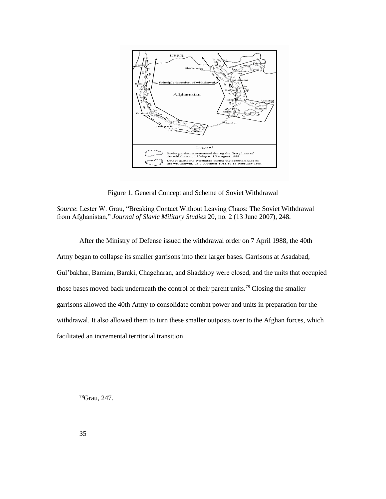

Figure 1. General Concept and Scheme of Soviet Withdrawal

*Source*: Lester W. Grau, "Breaking Contact Without Leaving Chaos: The Soviet Withdrawal from Afghanistan," *Journal of Slavic Military Studies* 20, no. 2 (13 June 2007), 248.

After the Ministry of Defense issued the withdrawal order on 7 April 1988, the 40th Army began to collapse its smaller garrisons into their larger bases. Garrisons at Asadabad, Gul'bakhar, Bamian, Baraki, Chagcharan, and Shadzhoy were closed, and the units that occupied those bases moved back underneath the control of their parent units.<sup>78</sup> Closing the smaller garrisons allowed the 40th Army to consolidate combat power and units in preparation for the withdrawal. It also allowed them to turn these smaller outposts over to the Afghan forces, which facilitated an incremental territorial transition.

78Grau, 247.

 $\overline{\phantom{a}}$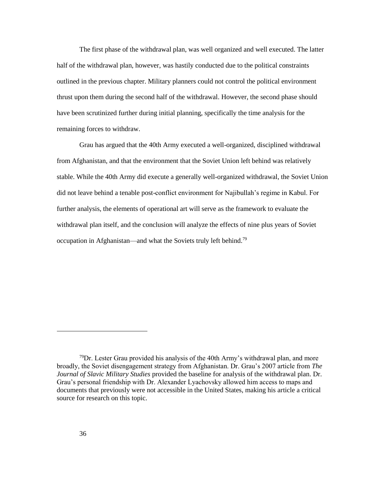The first phase of the withdrawal plan, was well organized and well executed. The latter half of the withdrawal plan, however, was hastily conducted due to the political constraints outlined in the previous chapter. Military planners could not control the political environment thrust upon them during the second half of the withdrawal. However, the second phase should have been scrutinized further during initial planning, specifically the time analysis for the remaining forces to withdraw.

Grau has argued that the 40th Army executed a well-organized, disciplined withdrawal from Afghanistan, and that the environment that the Soviet Union left behind was relatively stable. While the 40th Army did execute a generally well-organized withdrawal, the Soviet Union did not leave behind a tenable post-conflict environment for Najibullah's regime in Kabul. For further analysis, the elements of operational art will serve as the framework to evaluate the withdrawal plan itself, and the conclusion will analyze the effects of nine plus years of Soviet occupation in Afghanistan—and what the Soviets truly left behind.<sup>79</sup>

 $7^9$ Dr. Lester Grau provided his analysis of the 40th Army's withdrawal plan, and more broadly, the Soviet disengagement strategy from Afghanistan. Dr. Grau's 2007 article from *The Journal of Slavic Military Studies* provided the baseline for analysis of the withdrawal plan. Dr. Grau's personal friendship with Dr. Alexander Lyachovsky allowed him access to maps and documents that previously were not accessible in the United States, making his article a critical source for research on this topic.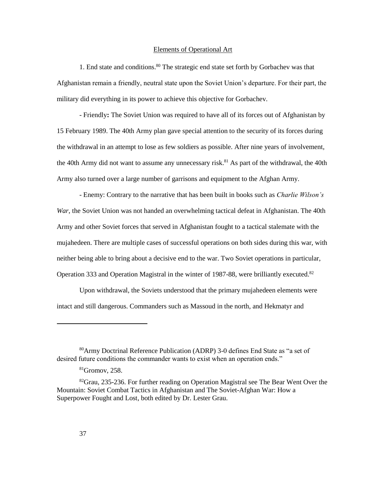#### Elements of Operational Art

<span id="page-43-0"></span>1. End state and conditions.<sup>80</sup> The strategic end state set forth by Gorbachev was that Afghanistan remain a friendly, neutral state upon the Soviet Union's departure. For their part, the military did everything in its power to achieve this objective for Gorbachev.

- Friendly**:** The Soviet Union was required to have all of its forces out of Afghanistan by 15 February 1989. The 40th Army plan gave special attention to the security of its forces during the withdrawal in an attempt to lose as few soldiers as possible. After nine years of involvement, the 40th Army did not want to assume any unnecessary risk.<sup>81</sup> As part of the withdrawal, the 40th Army also turned over a large number of garrisons and equipment to the Afghan Army.

- Enemy: Contrary to the narrative that has been built in books such as *Charlie Wilson's War*, the Soviet Union was not handed an overwhelming tactical defeat in Afghanistan. The 40th Army and other Soviet forces that served in Afghanistan fought to a tactical stalemate with the mujahedeen. There are multiple cases of successful operations on both sides during this war, with neither being able to bring about a decisive end to the war. Two Soviet operations in particular, Operation 333 and Operation Magistral in the winter of 1987-88, were brilliantly executed.<sup>82</sup>

Upon withdrawal, the Soviets understood that the primary mujahedeen elements were intact and still dangerous. Commanders such as Massoud in the north, and Hekmatyr and

<sup>80</sup>Army Doctrinal Reference Publication (ADRP) 3-0 defines End State as "a set of desired future conditions the commander wants to exist when an operation ends."

<sup>81</sup>Gromov, 258.

 $82$ Grau, 235-236. For further reading on Operation Magistral see The Bear Went Over the Mountain: Soviet Combat Tactics in Afghanistan and The Soviet-Afghan War: How a Superpower Fought and Lost, both edited by Dr. Lester Grau.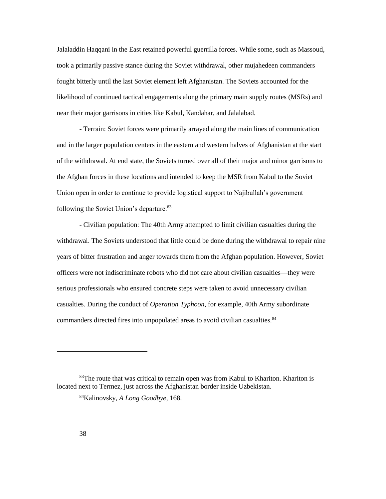Jalaladdin Haqqani in the East retained powerful guerrilla forces. While some, such as Massoud, took a primarily passive stance during the Soviet withdrawal, other mujahedeen commanders fought bitterly until the last Soviet element left Afghanistan. The Soviets accounted for the likelihood of continued tactical engagements along the primary main supply routes (MSRs) and near their major garrisons in cities like Kabul, Kandahar, and Jalalabad.

- Terrain: Soviet forces were primarily arrayed along the main lines of communication and in the larger population centers in the eastern and western halves of Afghanistan at the start of the withdrawal. At end state, the Soviets turned over all of their major and minor garrisons to the Afghan forces in these locations and intended to keep the MSR from Kabul to the Soviet Union open in order to continue to provide logistical support to Najibullah's government following the Soviet Union's departure.<sup>83</sup>

- Civilian population: The 40th Army attempted to limit civilian casualties during the withdrawal. The Soviets understood that little could be done during the withdrawal to repair nine years of bitter frustration and anger towards them from the Afghan population. However, Soviet officers were not indiscriminate robots who did not care about civilian casualties—they were serious professionals who ensured concrete steps were taken to avoid unnecessary civilian casualties. During the conduct of *Operation Typhoon*, for example, 40th Army subordinate commanders directed fires into unpopulated areas to avoid civilian casualties.<sup>84</sup>

<sup>&</sup>lt;sup>83</sup>The route that was critical to remain open was from Kabul to Khariton. Khariton is located next to Termez, just across the Afghanistan border inside Uzbekistan.

<sup>84</sup>Kalinovsky, *A Long Goodbye,* 168.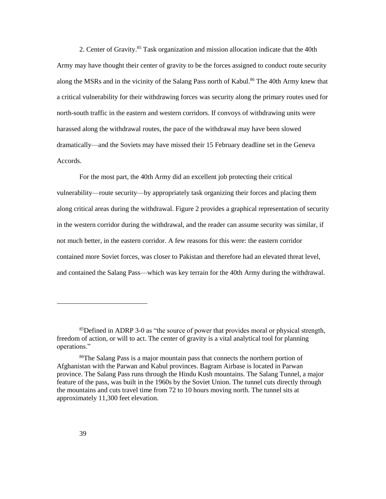2. Center of Gravity.<sup>85</sup> Task organization and mission allocation indicate that the 40th Army may have thought their center of gravity to be the forces assigned to conduct route security along the MSRs and in the vicinity of the Salang Pass north of Kabul.<sup>86</sup> The 40th Army knew that a critical vulnerability for their withdrawing forces was security along the primary routes used for north-south traffic in the eastern and western corridors. If convoys of withdrawing units were harassed along the withdrawal routes, the pace of the withdrawal may have been slowed dramatically—and the Soviets may have missed their 15 February deadline set in the Geneva Accords.

For the most part, the 40th Army did an excellent job protecting their critical vulnerability—route security—by appropriately task organizing their forces and placing them along critical areas during the withdrawal. Figure 2 provides a graphical representation of security in the western corridor during the withdrawal, and the reader can assume security was similar, if not much better, in the eastern corridor. A few reasons for this were: the eastern corridor contained more Soviet forces, was closer to Pakistan and therefore had an elevated threat level, and contained the Salang Pass—which was key terrain for the 40th Army during the withdrawal.

<sup>&</sup>lt;sup>85</sup>Defined in ADRP 3-0 as "the source of power that provides moral or physical strength, freedom of action, or will to act. The center of gravity is a vital analytical tool for planning operations."

<sup>86</sup>The Salang Pass is a major mountain pass that connects the northern portion of Afghanistan with the Parwan and Kabul provinces. Bagram Airbase is located in Parwan province. The Salang Pass runs through the Hindu Kush mountains. The Salang Tunnel, a major feature of the pass, was built in the 1960s by the Soviet Union. The tunnel cuts directly through the mountains and cuts travel time from 72 to 10 hours moving north. The tunnel sits at approximately 11,300 feet elevation.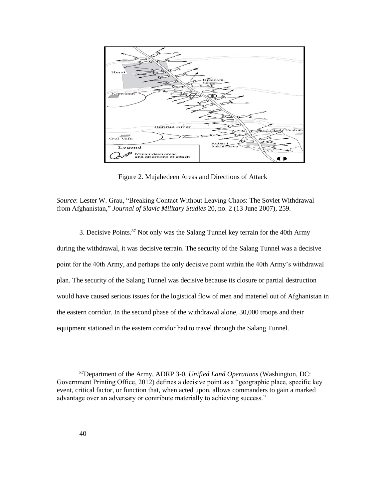

Figure 2. Mujahedeen Areas and Directions of Attack

*Source*: Lester W. Grau, "Breaking Contact Without Leaving Chaos: The Soviet Withdrawal from Afghanistan," *Journal of Slavic Military Studies* 20, no. 2 (13 June 2007), 259.

3. Decisive Points.<sup>87</sup> Not only was the Salang Tunnel key terrain for the 40th Army during the withdrawal, it was decisive terrain. The security of the Salang Tunnel was a decisive point for the 40th Army, and perhaps the only decisive point within the 40th Army's withdrawal plan. The security of the Salang Tunnel was decisive because its closure or partial destruction would have caused serious issues for the logistical flow of men and materiel out of Afghanistan in the eastern corridor. In the second phase of the withdrawal alone, 30,000 troops and their equipment stationed in the eastern corridor had to travel through the Salang Tunnel.

<sup>87</sup>Department of the Army, ADRP 3-0, *Unified Land Operations* (Washington, DC: Government Printing Office, 2012) defines a decisive point as a "geographic place, specific key event, critical factor, or function that, when acted upon, allows commanders to gain a marked advantage over an adversary or contribute materially to achieving success."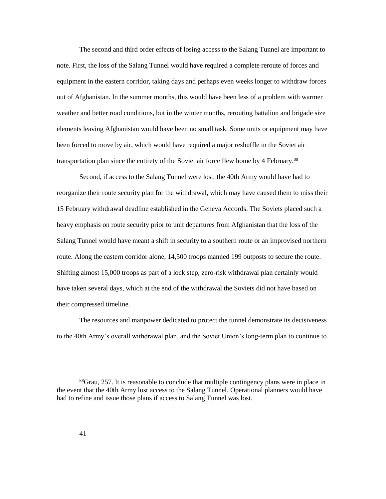The second and third order effects of losing access to the Salang Tunnel are important to note. First, the loss of the Salang Tunnel would have required a complete reroute of forces and equipment in the eastern corridor, taking days and perhaps even weeks longer to withdraw forces out of Afghanistan. In the summer months, this would have been less of a problem with warmer weather and better road conditions, but in the winter months, rerouting battalion and brigade size elements leaving Afghanistan would have been no small task. Some units or equipment may have been forced to move by air, which would have required a major reshuffle in the Soviet air transportation plan since the entirety of the Soviet air force flew home by 4 February.<sup>88</sup>

Second, if access to the Salang Tunnel were lost, the 40th Army would have had to reorganize their route security plan for the withdrawal, which may have caused them to miss their 15 February withdrawal deadline established in the Geneva Accords. The Soviets placed such a heavy emphasis on route security prior to unit departures from Afghanistan that the loss of the Salang Tunnel would have meant a shift in security to a southern route or an improvised northern route. Along the eastern corridor alone, 14,500 troops manned 199 outposts to secure the route. Shifting almost 15,000 troops as part of a lock step, zero-risk withdrawal plan certainly would have taken several days, which at the end of the withdrawal the Soviets did not have based on their compressed timeline.

The resources and manpower dedicated to protect the tunnel demonstrate its decisiveness to the 40th Army's overall withdrawal plan, and the Soviet Union's long-term plan to continue to

<sup>88</sup>Grau, 257. It is reasonable to conclude that multiple contingency plans were in place in the event that the 40th Army lost access to the Salang Tunnel. Operational planners would have had to refine and issue those plans if access to Salang Tunnel was lost.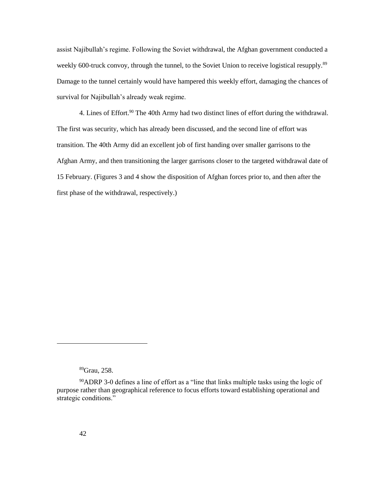assist Najibullah's regime. Following the Soviet withdrawal, the Afghan government conducted a weekly 600-truck convoy, through the tunnel, to the Soviet Union to receive logistical resupply.<sup>89</sup> Damage to the tunnel certainly would have hampered this weekly effort, damaging the chances of survival for Najibullah's already weak regime.

4. Lines of Effort.<sup>90</sup> The 40th Army had two distinct lines of effort during the withdrawal. The first was security, which has already been discussed, and the second line of effort was transition. The 40th Army did an excellent job of first handing over smaller garrisons to the Afghan Army, and then transitioning the larger garrisons closer to the targeted withdrawal date of 15 February. (Figures 3 and 4 show the disposition of Afghan forces prior to, and then after the first phase of the withdrawal, respectively.)

<sup>89</sup>Grau, 258.

<sup>90</sup>ADRP 3-0 defines a line of effort as a "line that links multiple tasks using the logic of purpose rather than geographical reference to focus efforts toward establishing operational and strategic conditions."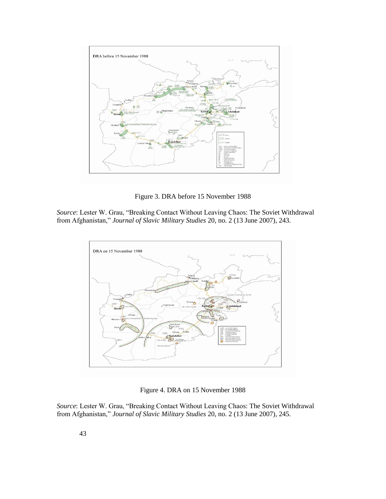

Figure 3. DRA before 15 November 1988

*Source*: Lester W. Grau, "Breaking Contact Without Leaving Chaos: The Soviet Withdrawal from Afghanistan," *Journal of Slavic Military Studies* 20, no. 2 (13 June 2007), 243.



Figure 4. DRA on 15 November 1988

*Source*: Lester W. Grau, "Breaking Contact Without Leaving Chaos: The Soviet Withdrawal from Afghanistan," *Journal of Slavic Military Studies* 20, no. 2 (13 June 2007), 245.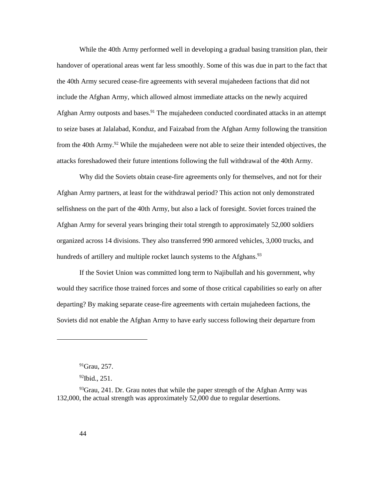While the 40th Army performed well in developing a gradual basing transition plan, their handover of operational areas went far less smoothly. Some of this was due in part to the fact that the 40th Army secured cease-fire agreements with several mujahedeen factions that did not include the Afghan Army, which allowed almost immediate attacks on the newly acquired Afghan Army outposts and bases.<sup>91</sup> The mujahedeen conducted coordinated attacks in an attempt to seize bases at Jalalabad, Konduz, and Faizabad from the Afghan Army following the transition from the 40th Army.<sup>92</sup> While the mujahedeen were not able to seize their intended objectives, the attacks foreshadowed their future intentions following the full withdrawal of the 40th Army.

Why did the Soviets obtain cease-fire agreements only for themselves, and not for their Afghan Army partners, at least for the withdrawal period? This action not only demonstrated selfishness on the part of the 40th Army, but also a lack of foresight. Soviet forces trained the Afghan Army for several years bringing their total strength to approximately 52,000 soldiers organized across 14 divisions. They also transferred 990 armored vehicles, 3,000 trucks, and hundreds of artillery and multiple rocket launch systems to the Afghans.<sup>93</sup>

If the Soviet Union was committed long term to Najibullah and his government, why would they sacrifice those trained forces and some of those critical capabilities so early on after departing? By making separate cease-fire agreements with certain mujahedeen factions, the Soviets did not enable the Afghan Army to have early success following their departure from

 $91$ Grau, 257.

<sup>92</sup>Ibid., 251.

 $93$ Grau, 241. Dr. Grau notes that while the paper strength of the Afghan Army was 132,000, the actual strength was approximately 52,000 due to regular desertions.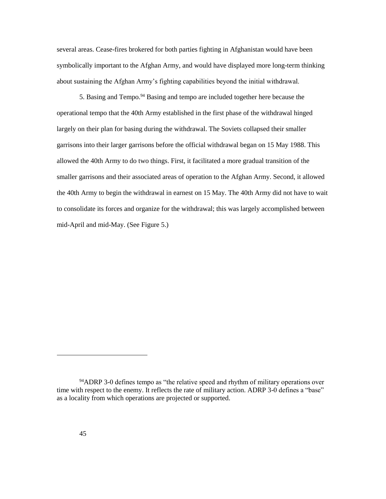several areas. Cease-fires brokered for both parties fighting in Afghanistan would have been symbolically important to the Afghan Army, and would have displayed more long-term thinking about sustaining the Afghan Army's fighting capabilities beyond the initial withdrawal.

5. Basing and Tempo.<sup>94</sup> Basing and tempo are included together here because the operational tempo that the 40th Army established in the first phase of the withdrawal hinged largely on their plan for basing during the withdrawal. The Soviets collapsed their smaller garrisons into their larger garrisons before the official withdrawal began on 15 May 1988. This allowed the 40th Army to do two things. First, it facilitated a more gradual transition of the smaller garrisons and their associated areas of operation to the Afghan Army. Second, it allowed the 40th Army to begin the withdrawal in earnest on 15 May. The 40th Army did not have to wait to consolidate its forces and organize for the withdrawal; this was largely accomplished between mid-April and mid-May. (See Figure 5.)

<sup>&</sup>lt;sup>94</sup>ADRP 3-0 defines tempo as "the relative speed and rhythm of military operations over time with respect to the enemy. It reflects the rate of military action. ADRP 3-0 defines a "base" as a locality from which operations are projected or supported.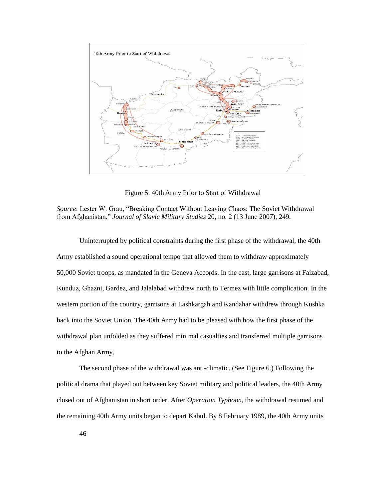

Figure 5. 40th Army Prior to Start of Withdrawal

*Source*: Lester W. Grau, "Breaking Contact Without Leaving Chaos: The Soviet Withdrawal from Afghanistan," *Journal of Slavic Military Studies* 20, no. 2 (13 June 2007), 249.

Uninterrupted by political constraints during the first phase of the withdrawal, the 40th Army established a sound operational tempo that allowed them to withdraw approximately 50,000 Soviet troops, as mandated in the Geneva Accords. In the east, large garrisons at Faizabad, Kunduz, Ghazni, Gardez, and Jalalabad withdrew north to Termez with little complication. In the western portion of the country, garrisons at Lashkargah and Kandahar withdrew through Kushka back into the Soviet Union. The 40th Army had to be pleased with how the first phase of the withdrawal plan unfolded as they suffered minimal casualties and transferred multiple garrisons to the Afghan Army.

The second phase of the withdrawal was anti-climatic. (See Figure 6.) Following the political drama that played out between key Soviet military and political leaders, the 40th Army closed out of Afghanistan in short order. After *Operation Typhoon,* the withdrawal resumed and the remaining 40th Army units began to depart Kabul. By 8 February 1989, the 40th Army units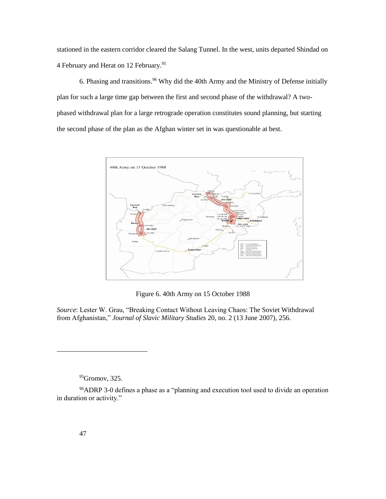stationed in the eastern corridor cleared the Salang Tunnel. In the west, units departed Shindad on 4 February and Herat on 12 February.<sup>95</sup>

6. Phasing and transitions.<sup>96</sup> Why did the 40th Army and the Ministry of Defense initially plan for such a large time gap between the first and second phase of the withdrawal? A twophased withdrawal plan for a large retrograde operation constitutes sound planning, but starting the second phase of the plan as the Afghan winter set in was questionable at best.



Figure 6. 40th Army on 15 October 1988

*Source*: Lester W. Grau, "Breaking Contact Without Leaving Chaos: The Soviet Withdrawal from Afghanistan," *Journal of Slavic Military Studies* 20, no. 2 (13 June 2007), 256.

95<sub>Gromov</sub>, 325.

<sup>96</sup>ADRP 3-0 defines a phase as a "planning and execution tool used to divide an operation in duration or activity."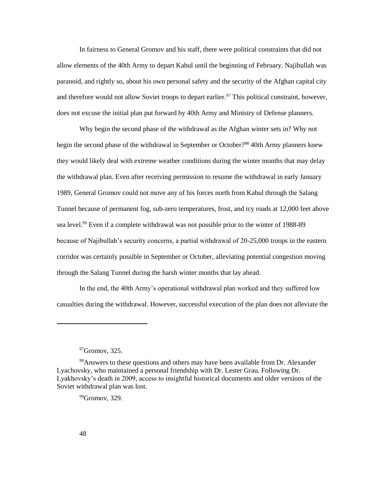In fairness to General Gromov and his staff, there were political constraints that did not allow elements of the 40th Army to depart Kabul until the beginning of February. Najibullah was paranoid, and rightly so, about his own personal safety and the security of the Afghan capital city and therefore would not allow Soviet troops to depart earlier.<sup>97</sup> This political constraint, however, does not excuse the initial plan put forward by 40th Army and Ministry of Defense planners.

Why begin the second phase of the withdrawal as the Afghan winter sets in? Why not begin the second phase of the withdrawal in September or October?<sup>98</sup> 40th Army planners knew they would likely deal with extreme weather conditions during the winter months that may delay the withdrawal plan. Even after receiving permission to resume the withdrawal in early January 1989, General Gromov could not move any of his forces north from Kabul through the Salang Tunnel because of permanent fog, sub-zero temperatures, frost, and icy roads at 12,000 feet above sea level.<sup>99</sup> Even if a complete withdrawal was not possible prior to the winter of 1988-89 because of Najibullah's security concerns, a partial withdrawal of 20-25,000 troops in the eastern corridor was certainly possible in September or October, alleviating potential congestion moving through the Salang Tunnel during the harsh winter months that lay ahead.

In the end, the 40th Army's operational withdrawal plan worked and they suffered low casualties during the withdrawal. However, successful execution of the plan does not alleviate the

 $97$ Gromov, 325.

<sup>&</sup>lt;sup>98</sup>Answers to these questions and others may have been available from Dr. Alexander Lyachovsky, who maintained a personal friendship with Dr. Lester Grau. Following Dr. Lyakhovsky's death in 2009, access to insightful historical documents and older versions of the Soviet withdrawal plan was lost.

 $99$ Gromov, 329.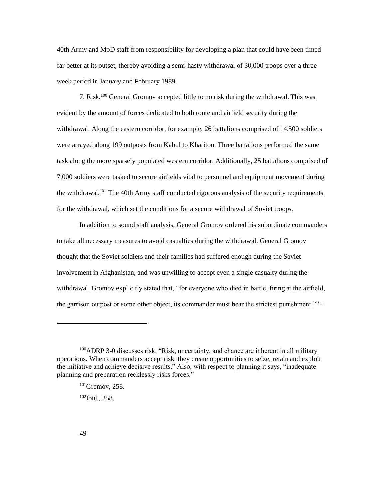40th Army and MoD staff from responsibility for developing a plan that could have been timed far better at its outset, thereby avoiding a semi-hasty withdrawal of 30,000 troops over a threeweek period in January and February 1989.

7. Risk.<sup>100</sup> General Gromov accepted little to no risk during the withdrawal. This was evident by the amount of forces dedicated to both route and airfield security during the withdrawal. Along the eastern corridor, for example, 26 battalions comprised of 14,500 soldiers were arrayed along 199 outposts from Kabul to Khariton. Three battalions performed the same task along the more sparsely populated western corridor. Additionally, 25 battalions comprised of 7,000 soldiers were tasked to secure airfields vital to personnel and equipment movement during the withdrawal.<sup>101</sup> The 40th Army staff conducted rigorous analysis of the security requirements for the withdrawal, which set the conditions for a secure withdrawal of Soviet troops.

In addition to sound staff analysis, General Gromov ordered his subordinate commanders to take all necessary measures to avoid casualties during the withdrawal. General Gromov thought that the Soviet soldiers and their families had suffered enough during the Soviet involvement in Afghanistan, and was unwilling to accept even a single casualty during the withdrawal. Gromov explicitly stated that, "for everyone who died in battle, firing at the airfield, the garrison outpost or some other object, its commander must bear the strictest punishment."<sup>102</sup>

<sup>&</sup>lt;sup>100</sup>ADRP 3-0 discusses risk. "Risk, uncertainty, and chance are inherent in all military operations. When commanders accept risk, they create opportunities to seize, retain and exploit the initiative and achieve decisive results." Also, with respect to planning it says, "inadequate planning and preparation recklessly risks forces."

<sup>&</sup>lt;sup>101</sup>Gromov, 258.

<sup>102</sup>Ibid., 258.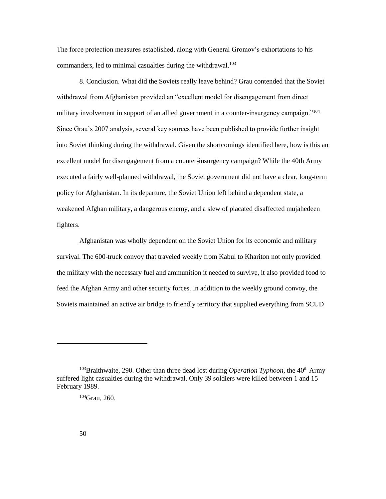The force protection measures established, along with General Gromov's exhortations to his commanders, led to minimal casualties during the withdrawal.<sup>103</sup>

8. Conclusion. What did the Soviets really leave behind? Grau contended that the Soviet withdrawal from Afghanistan provided an "excellent model for disengagement from direct military involvement in support of an allied government in a counter-insurgency campaign."<sup>104</sup> Since Grau's 2007 analysis, several key sources have been published to provide further insight into Soviet thinking during the withdrawal. Given the shortcomings identified here, how is this an excellent model for disengagement from a counter-insurgency campaign? While the 40th Army executed a fairly well-planned withdrawal, the Soviet government did not have a clear, long-term policy for Afghanistan. In its departure, the Soviet Union left behind a dependent state, a weakened Afghan military, a dangerous enemy, and a slew of placated disaffected mujahedeen fighters.

Afghanistan was wholly dependent on the Soviet Union for its economic and military survival. The 600-truck convoy that traveled weekly from Kabul to Khariton not only provided the military with the necessary fuel and ammunition it needed to survive, it also provided food to feed the Afghan Army and other security forces. In addition to the weekly ground convoy, the Soviets maintained an active air bridge to friendly territory that supplied everything from SCUD

<sup>&</sup>lt;sup>103</sup>Braithwaite, 290. Other than three dead lost during *Operation Typhoon*, the 40<sup>th</sup> Army suffered light casualties during the withdrawal. Only 39 soldiers were killed between 1 and 15 February 1989.

<sup>104</sup>Grau, 260.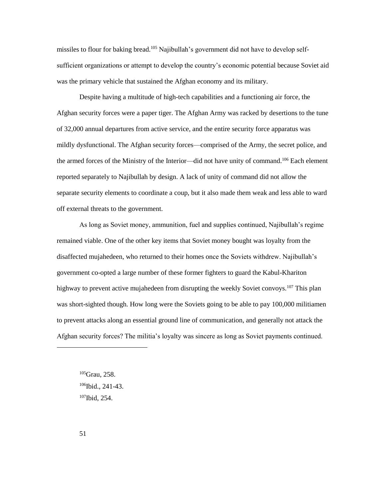missiles to flour for baking bread.<sup>105</sup> Najibullah's government did not have to develop selfsufficient organizations or attempt to develop the country's economic potential because Soviet aid was the primary vehicle that sustained the Afghan economy and its military.

Despite having a multitude of high-tech capabilities and a functioning air force, the Afghan security forces were a paper tiger. The Afghan Army was racked by desertions to the tune of 32,000 annual departures from active service, and the entire security force apparatus was mildly dysfunctional. The Afghan security forces—comprised of the Army, the secret police, and the armed forces of the Ministry of the Interior—did not have unity of command.<sup>106</sup> Each element reported separately to Najibullah by design. A lack of unity of command did not allow the separate security elements to coordinate a coup, but it also made them weak and less able to ward off external threats to the government.

As long as Soviet money, ammunition, fuel and supplies continued, Najibullah's regime remained viable. One of the other key items that Soviet money bought was loyalty from the disaffected mujahedeen, who returned to their homes once the Soviets withdrew. Najibullah's government co-opted a large number of these former fighters to guard the Kabul-Khariton highway to prevent active mujahedeen from disrupting the weekly Soviet convoys.<sup>107</sup> This plan was short-sighted though. How long were the Soviets going to be able to pay 100,000 militiamen to prevent attacks along an essential ground line of communication, and generally not attack the Afghan security forces? The militia's loyalty was sincere as long as Soviet payments continued.

<sup>105</sup>Grau, 258. <sup>106</sup>Ibid., 241-43. 107Ibid, 254.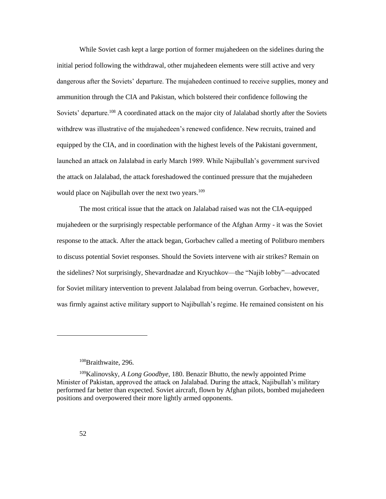While Soviet cash kept a large portion of former mujahedeen on the sidelines during the initial period following the withdrawal, other mujahedeen elements were still active and very dangerous after the Soviets' departure. The mujahedeen continued to receive supplies, money and ammunition through the CIA and Pakistan, which bolstered their confidence following the Soviets' departure.<sup>108</sup> A coordinated attack on the major city of Jalalabad shortly after the Soviets withdrew was illustrative of the mujahedeen's renewed confidence. New recruits, trained and equipped by the CIA, and in coordination with the highest levels of the Pakistani government, launched an attack on Jalalabad in early March 1989. While Najibullah's government survived the attack on Jalalabad, the attack foreshadowed the continued pressure that the mujahedeen would place on Najibullah over the next two years.<sup>109</sup>

The most critical issue that the attack on Jalalabad raised was not the CIA-equipped mujahedeen or the surprisingly respectable performance of the Afghan Army - it was the Soviet response to the attack. After the attack began, Gorbachev called a meeting of Politburo members to discuss potential Soviet responses. Should the Soviets intervene with air strikes? Remain on the sidelines? Not surprisingly, Shevardnadze and Kryuchkov—the "Najib lobby"—advocated for Soviet military intervention to prevent Jalalabad from being overrun. Gorbachev, however, was firmly against active military support to Najibullah's regime. He remained consistent on his

<sup>108</sup>Braithwaite, 296.

<sup>109</sup>Kalinovsky, *A Long Goodbye,* 180. Benazir Bhutto, the newly appointed Prime Minister of Pakistan, approved the attack on Jalalabad. During the attack, Najibullah's military performed far better than expected. Soviet aircraft, flown by Afghan pilots, bombed mujahedeen positions and overpowered their more lightly armed opponents.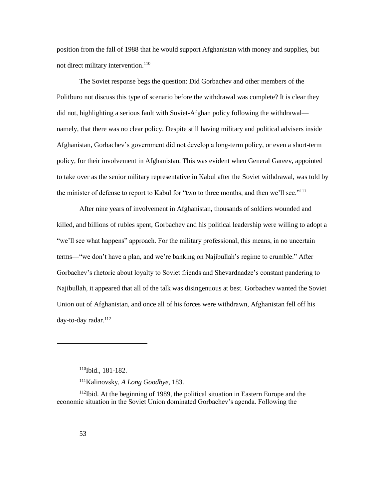position from the fall of 1988 that he would support Afghanistan with money and supplies, but not direct military intervention.<sup>110</sup>

The Soviet response begs the question: Did Gorbachev and other members of the Politburo not discuss this type of scenario before the withdrawal was complete? It is clear they did not, highlighting a serious fault with Soviet-Afghan policy following the withdrawal namely, that there was no clear policy. Despite still having military and political advisers inside Afghanistan, Gorbachev's government did not develop a long-term policy, or even a short-term policy, for their involvement in Afghanistan. This was evident when General Gareev, appointed to take over as the senior military representative in Kabul after the Soviet withdrawal, was told by the minister of defense to report to Kabul for "two to three months, and then we'll see."<sup>111</sup>

After nine years of involvement in Afghanistan, thousands of soldiers wounded and killed, and billions of rubles spent, Gorbachev and his political leadership were willing to adopt a "we'll see what happens" approach. For the military professional, this means, in no uncertain terms—"we don't have a plan, and we're banking on Najibullah's regime to crumble." After Gorbachev's rhetoric about loyalty to Soviet friends and Shevardnadze's constant pandering to Najibullah, it appeared that all of the talk was disingenuous at best. Gorbachev wanted the Soviet Union out of Afghanistan, and once all of his forces were withdrawn, Afghanistan fell off his day-to-day radar.<sup>112</sup>

<sup>110</sup>Ibid., 181-182.

<sup>111</sup>Kalinovsky, *A Long Goodbye,* 183.

<sup>112</sup>Ibid. At the beginning of 1989, the political situation in Eastern Europe and the economic situation in the Soviet Union dominated Gorbachev's agenda. Following the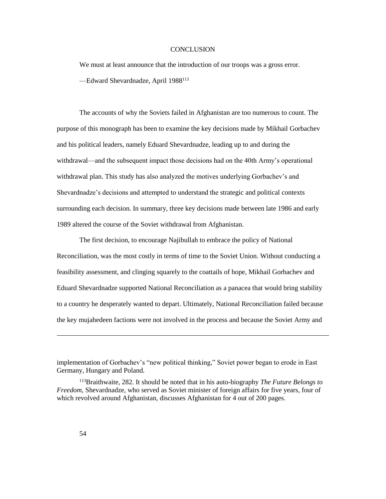## **CONCLUSION**

<span id="page-60-0"></span>We must at least announce that the introduction of our troops was a gross error. —Edward Shevardnadze, April 1988<sup>113</sup>

The accounts of why the Soviets failed in Afghanistan are too numerous to count. The purpose of this monograph has been to examine the key decisions made by Mikhail Gorbachev and his political leaders, namely Eduard Shevardnadze, leading up to and during the withdrawal—and the subsequent impact those decisions had on the 40th Army's operational withdrawal plan. This study has also analyzed the motives underlying Gorbachev's and Shevardnadze's decisions and attempted to understand the strategic and political contexts surrounding each decision. In summary, three key decisions made between late 1986 and early 1989 altered the course of the Soviet withdrawal from Afghanistan.

The first decision, to encourage Najibullah to embrace the policy of National Reconciliation, was the most costly in terms of time to the Soviet Union. Without conducting a feasibility assessment, and clinging squarely to the coattails of hope, Mikhail Gorbachev and Eduard Shevardnadze supported National Reconciliation as a panacea that would bring stability to a country he desperately wanted to depart. Ultimately, National Reconciliation failed because the key mujahedeen factions were not involved in the process and because the Soviet Army and

implementation of Gorbachev's "new political thinking," Soviet power began to erode in East Germany, Hungary and Poland.

<sup>113</sup>Braithwaite, 282. It should be noted that in his auto-biography *The Future Belongs to Freedom*, Shevardnadze, who served as Soviet minister of foreign affairs for five years, four of which revolved around Afghanistan, discusses Afghanistan for 4 out of 200 pages.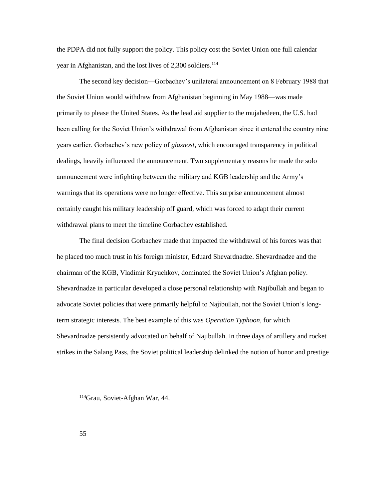the PDPA did not fully support the policy. This policy cost the Soviet Union one full calendar year in Afghanistan, and the lost lives of 2,300 soldiers.<sup>114</sup>

The second key decision—Gorbachev's unilateral announcement on 8 February 1988 that the Soviet Union would withdraw from Afghanistan beginning in May 1988—was made primarily to please the United States. As the lead aid supplier to the mujahedeen, the U.S. had been calling for the Soviet Union's withdrawal from Afghanistan since it entered the country nine years earlier. Gorbachev's new policy of *glasnost*, which encouraged transparency in political dealings, heavily influenced the announcement. Two supplementary reasons he made the solo announcement were infighting between the military and KGB leadership and the Army's warnings that its operations were no longer effective. This surprise announcement almost certainly caught his military leadership off guard, which was forced to adapt their current withdrawal plans to meet the timeline Gorbachev established.

The final decision Gorbachev made that impacted the withdrawal of his forces was that he placed too much trust in his foreign minister, Eduard Shevardnadze. Shevardnadze and the chairman of the KGB, Vladimir Kryuchkov, dominated the Soviet Union's Afghan policy. Shevardnadze in particular developed a close personal relationship with Najibullah and began to advocate Soviet policies that were primarily helpful to Najibullah, not the Soviet Union's longterm strategic interests. The best example of this was *Operation Typhoon*, for which Shevardnadze persistently advocated on behalf of Najibullah. In three days of artillery and rocket strikes in the Salang Pass, the Soviet political leadership delinked the notion of honor and prestige

<sup>114</sup>Grau, Soviet-Afghan War, 44.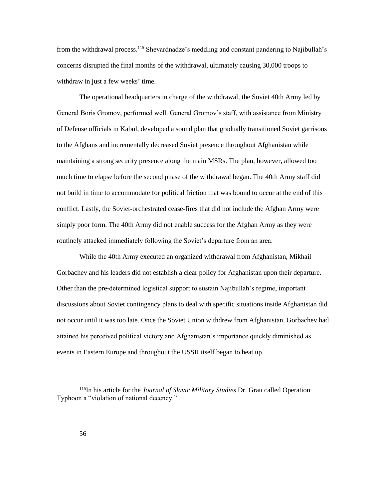from the withdrawal process.<sup>115</sup> Shevardnadze's meddling and constant pandering to Najibullah's concerns disrupted the final months of the withdrawal, ultimately causing 30,000 troops to withdraw in just a few weeks' time.

The operational headquarters in charge of the withdrawal, the Soviet 40th Army led by General Boris Gromov, performed well. General Gromov's staff, with assistance from Ministry of Defense officials in Kabul, developed a sound plan that gradually transitioned Soviet garrisons to the Afghans and incrementally decreased Soviet presence throughout Afghanistan while maintaining a strong security presence along the main MSRs. The plan, however, allowed too much time to elapse before the second phase of the withdrawal began. The 40th Army staff did not build in time to accommodate for political friction that was bound to occur at the end of this conflict. Lastly, the Soviet-orchestrated cease-fires that did not include the Afghan Army were simply poor form. The 40th Army did not enable success for the Afghan Army as they were routinely attacked immediately following the Soviet's departure from an area.

While the 40th Army executed an organized withdrawal from Afghanistan, Mikhail Gorbachev and his leaders did not establish a clear policy for Afghanistan upon their departure. Other than the pre-determined logistical support to sustain Najibullah's regime, important discussions about Soviet contingency plans to deal with specific situations inside Afghanistan did not occur until it was too late. Once the Soviet Union withdrew from Afghanistan, Gorbachev had attained his perceived political victory and Afghanistan's importance quickly diminished as events in Eastern Europe and throughout the USSR itself began to heat up.

<sup>115</sup>In his article for the *Journal of Slavic Military Studies* Dr. Grau called Operation Typhoon a "violation of national decency."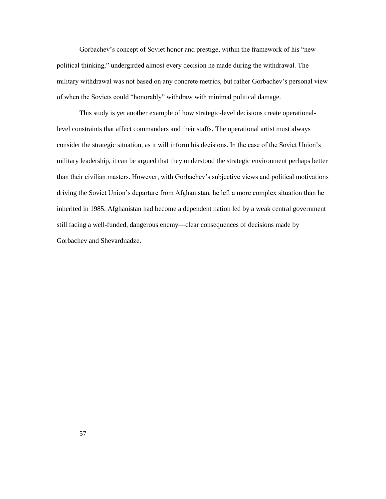Gorbachev's concept of Soviet honor and prestige, within the framework of his "new political thinking," undergirded almost every decision he made during the withdrawal. The military withdrawal was not based on any concrete metrics, but rather Gorbachev's personal view of when the Soviets could "honorably" withdraw with minimal political damage.

This study is yet another example of how strategic-level decisions create operationallevel constraints that affect commanders and their staffs. The operational artist must always consider the strategic situation, as it will inform his decisions. In the case of the Soviet Union's military leadership, it can be argued that they understood the strategic environment perhaps better than their civilian masters. However, with Gorbachev's subjective views and political motivations driving the Soviet Union's departure from Afghanistan, he left a more complex situation than he inherited in 1985. Afghanistan had become a dependent nation led by a weak central government still facing a well-funded, dangerous enemy—clear consequences of decisions made by Gorbachev and Shevardnadze.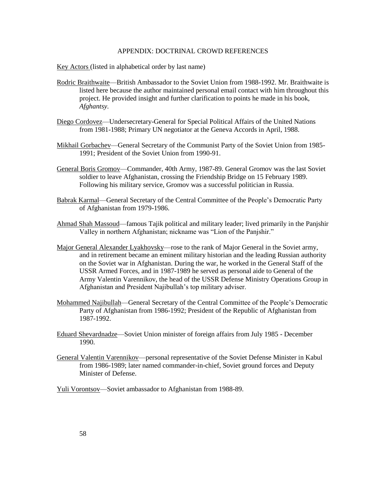#### APPENDIX: DOCTRINAL CROWD REFERENCES

<span id="page-64-0"></span>Key Actors (listed in alphabetical order by last name)

- Rodric Braithwaite—British Ambassador to the Soviet Union from 1988-1992. Mr. Braithwaite is listed here because the author maintained personal email contact with him throughout this project. He provided insight and further clarification to points he made in his book, *Afghantsy.*
- Diego Cordovez—Undersecretary-General for Special Political Affairs of the United Nations from 1981-1988; Primary UN negotiator at the Geneva Accords in April, 1988.
- Mikhail Gorbachev—General Secretary of the Communist Party of the Soviet Union from 1985- 1991; President of the Soviet Union from 1990-91.
- General Boris Gromov—Commander, 40th Army, 1987-89. General Gromov was the last Soviet soldier to leave Afghanistan, crossing the Friendship Bridge on 15 February 1989. Following his military service, Gromov was a successful politician in Russia.
- Babrak Karmal—General Secretary of the Central Committee of the People's Democratic Party of Afghanistan from 1979-1986.
- Ahmad Shah Massoud—famous Tajik political and military leader; lived primarily in the Panjshir Valley in northern Afghanistan; nickname was "Lion of the Panjshir."
- Major General Alexander Lyakhovsky—rose to the rank of Major General in the Soviet army, and in retirement became an eminent military historian and the leading Russian authority on the Soviet war in Afghanistan. During the war, he worked in the General Staff of the USSR Armed Forces, and in 1987-1989 he served as personal aide to General of the Army Valentin Varennikov, the head of the USSR Defense Ministry Operations Group in Afghanistan and President Najibullah's top military adviser.
- Mohammed Najibullah—General Secretary of the Central Committee of the People's Democratic Party of Afghanistan from 1986-1992; President of the Republic of Afghanistan from 1987-1992.
- Eduard Shevardnadze—Soviet Union minister of foreign affairs from July 1985 December 1990.
- General Valentin Varennikov—personal representative of the Soviet Defense Minister in Kabul from 1986-1989; later named commander-in-chief, Soviet ground forces and Deputy Minister of Defense.

Yuli Vorontsov—Soviet ambassador to Afghanistan from 1988-89.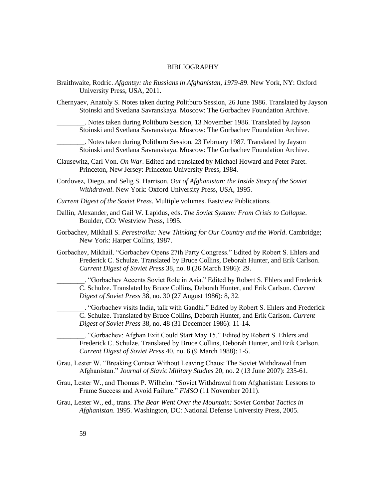#### BIBLIOGRAPHY

- <span id="page-65-0"></span>Braithwaite, Rodric. *Afgantsy: the Russians in Afghanistan, 1979-89*. New York, NY: Oxford University Press, USA, 2011.
- Chernyaev, Anatoly S. Notes taken during Politburo Session, 26 June 1986. Translated by Jayson Stoinski and Svetlana Savranskaya. Moscow: The Gorbachev Foundation Archive.
	- \_\_\_\_\_\_\_\_. Notes taken during Politburo Session, 13 November 1986. Translated by Jayson Stoinski and Svetlana Savranskaya. Moscow: The Gorbachev Foundation Archive.
	- \_\_\_\_\_\_\_\_. Notes taken during Politburo Session, 23 February 1987. Translated by Jayson Stoinski and Svetlana Savranskaya. Moscow: The Gorbachev Foundation Archive.
- Clausewitz, Carl Von. *On War*. Edited and translated by Michael Howard and Peter Paret. Princeton, New Jersey: Princeton University Press, 1984.
- Cordovez, Diego, and Selig S. Harrison. *Out of Afghanistan: the Inside Story of the Soviet Withdrawal*. New York: Oxford University Press, USA, 1995.
- *Current Digest of the Soviet Press*. Multiple volumes. Eastview Publications.
- Dallin, Alexander, and Gail W. Lapidus, eds. *The Soviet System: From Crisis to Collapse*. Boulder, CO: Westview Press, 1995.
- Gorbachev, Mikhail S. *Perestroika: New Thinking for Our Country and the World*. Cambridge; New York: Harper Collins, 1987.
- Gorbachev, Mikhail. "Gorbachev Opens 27th Party Congress." Edited by Robert S. Ehlers and Frederick C. Schulze. Translated by Bruce Collins, Deborah Hunter, and Erik Carlson. *Current Digest of Soviet Press* 38, no. 8 (26 March 1986): 29.

\_\_\_\_\_\_\_\_. "Gorbachev Accents Soviet Role in Asia." Edited by Robert S. Ehlers and Frederick C. Schulze. Translated by Bruce Collins, Deborah Hunter, and Erik Carlson. *Current Digest of Soviet Press* 38, no. 30 (27 August 1986): 8, 32.

\_\_\_\_\_\_\_\_. "Gorbachev visits India, talk with Gandhi." Edited by Robert S. Ehlers and Frederick C. Schulze. Translated by Bruce Collins, Deborah Hunter, and Erik Carlson. *Current Digest of Soviet Press* 38, no. 48 (31 December 1986): 11-14.

\_\_\_\_\_\_\_\_. "Gorbachev: Afghan Exit Could Start May 15." Edited by Robert S. Ehlers and Frederick C. Schulze. Translated by Bruce Collins, Deborah Hunter, and Erik Carlson. *Current Digest of Soviet Press* 40, no. 6 (9 March 1988): 1-5.

- Grau, Lester W. "Breaking Contact Without Leaving Chaos: The Soviet Withdrawal from Afghanistan." *Journal of Slavic Military Studies* 20, no. 2 (13 June 2007): 235-61.
- Grau, Lester W., and Thomas P. Wilhelm. "Soviet Withdrawal from Afghanistan: Lessons to Frame Success and Avoid Failure." *FMSO* (11 November 2011).
- Grau, Lester W., ed., trans. *The Bear Went Over the Mountain: Soviet Combat Tactics in Afghanistan*. 1995. Washington, DC: National Defense University Press, 2005.